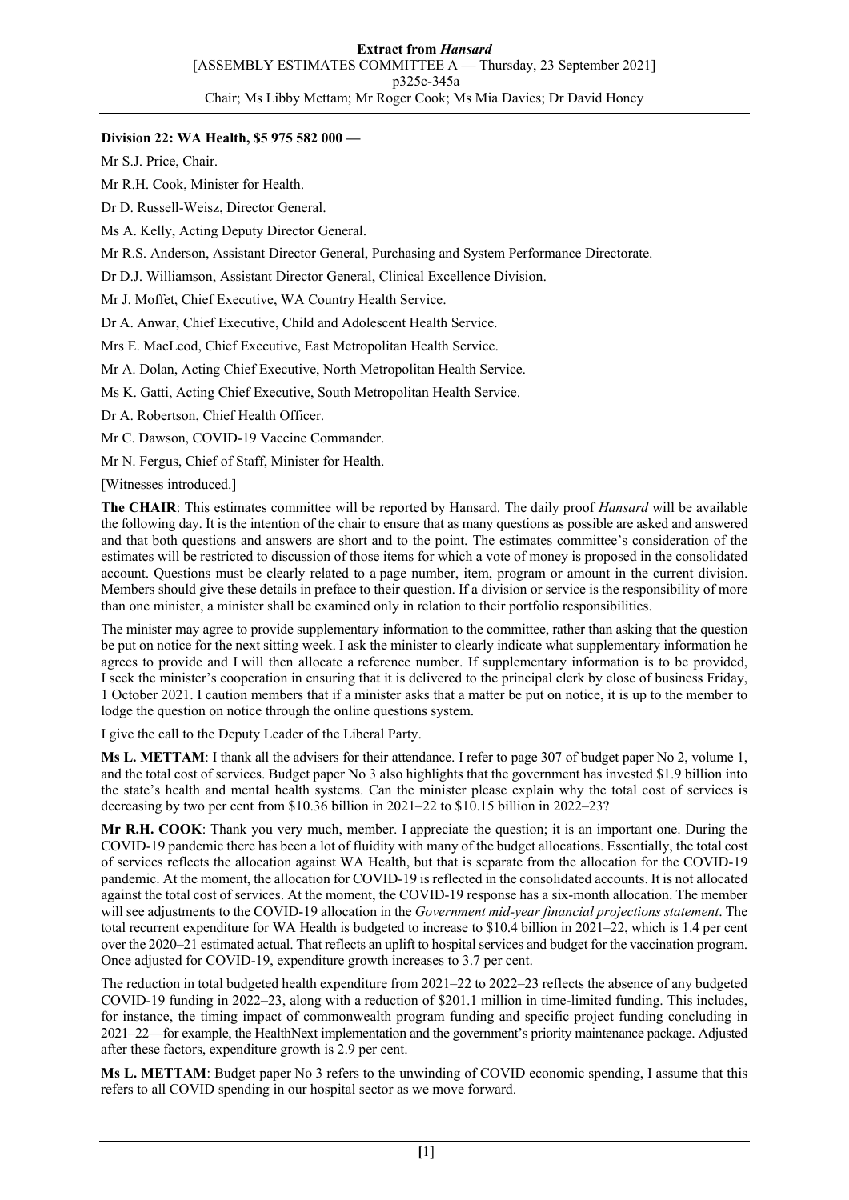### **Division 22: WA Health, \$5 975 582 000 —**

Mr S.J. Price, Chair.

Mr R.H. Cook, Minister for Health.

Dr D. Russell-Weisz, Director General.

Ms A. Kelly, Acting Deputy Director General.

Mr R.S. Anderson, Assistant Director General, Purchasing and System Performance Directorate.

Dr D.J. Williamson, Assistant Director General, Clinical Excellence Division.

Mr J. Moffet, Chief Executive, WA Country Health Service.

Dr A. Anwar, Chief Executive, Child and Adolescent Health Service.

Mrs E. MacLeod, Chief Executive, East Metropolitan Health Service.

Mr A. Dolan, Acting Chief Executive, North Metropolitan Health Service.

Ms K. Gatti, Acting Chief Executive, South Metropolitan Health Service.

Dr A. Robertson, Chief Health Officer.

Mr C. Dawson, COVID-19 Vaccine Commander.

Mr N. Fergus, Chief of Staff, Minister for Health.

[Witnesses introduced.]

**The CHAIR**: This estimates committee will be reported by Hansard. The daily proof *Hansard* will be available the following day. It is the intention of the chair to ensure that as many questions as possible are asked and answered and that both questions and answers are short and to the point. The estimates committee's consideration of the estimates will be restricted to discussion of those items for which a vote of money is proposed in the consolidated account. Questions must be clearly related to a page number, item, program or amount in the current division. Members should give these details in preface to their question. If a division or service is the responsibility of more than one minister, a minister shall be examined only in relation to their portfolio responsibilities.

The minister may agree to provide supplementary information to the committee, rather than asking that the question be put on notice for the next sitting week. I ask the minister to clearly indicate what supplementary information he agrees to provide and I will then allocate a reference number. If supplementary information is to be provided, I seek the minister's cooperation in ensuring that it is delivered to the principal clerk by close of business Friday, 1 October 2021. I caution members that if a minister asks that a matter be put on notice, it is up to the member to lodge the question on notice through the online questions system.

I give the call to the Deputy Leader of the Liberal Party.

**Ms L. METTAM**: I thank all the advisers for their attendance. I refer to page 307 of budget paper No 2, volume 1, and the total cost of services. Budget paper No 3 also highlights that the government has invested \$1.9 billion into the state's health and mental health systems. Can the minister please explain why the total cost of services is decreasing by two per cent from \$10.36 billion in 2021–22 to \$10.15 billion in 2022–23?

**Mr R.H. COOK**: Thank you very much, member. I appreciate the question; it is an important one. During the COVID-19 pandemic there has been a lot of fluidity with many of the budget allocations. Essentially, the total cost of services reflects the allocation against WA Health, but that is separate from the allocation for the COVID-19 pandemic. At the moment, the allocation for COVID-19 is reflected in the consolidated accounts. It is not allocated against the total cost of services. At the moment, the COVID-19 response has a six-month allocation. The member will see adjustments to the COVID-19 allocation in the *Government mid-year financial projections statement*. The total recurrent expenditure for WA Health is budgeted to increase to \$10.4 billion in 2021–22, which is 1.4 per cent over the 2020–21 estimated actual. That reflects an uplift to hospital services and budget for the vaccination program. Once adjusted for COVID-19, expenditure growth increases to 3.7 per cent.

The reduction in total budgeted health expenditure from 2021–22 to 2022–23 reflects the absence of any budgeted COVID-19 funding in 2022–23, along with a reduction of \$201.1 million in time-limited funding. This includes, for instance, the timing impact of commonwealth program funding and specific project funding concluding in 2021–22—for example, the HealthNext implementation and the government's priority maintenance package. Adjusted after these factors, expenditure growth is 2.9 per cent.

**Ms L. METTAM**: Budget paper No 3 refers to the unwinding of COVID economic spending, I assume that this refers to all COVID spending in our hospital sector as we move forward.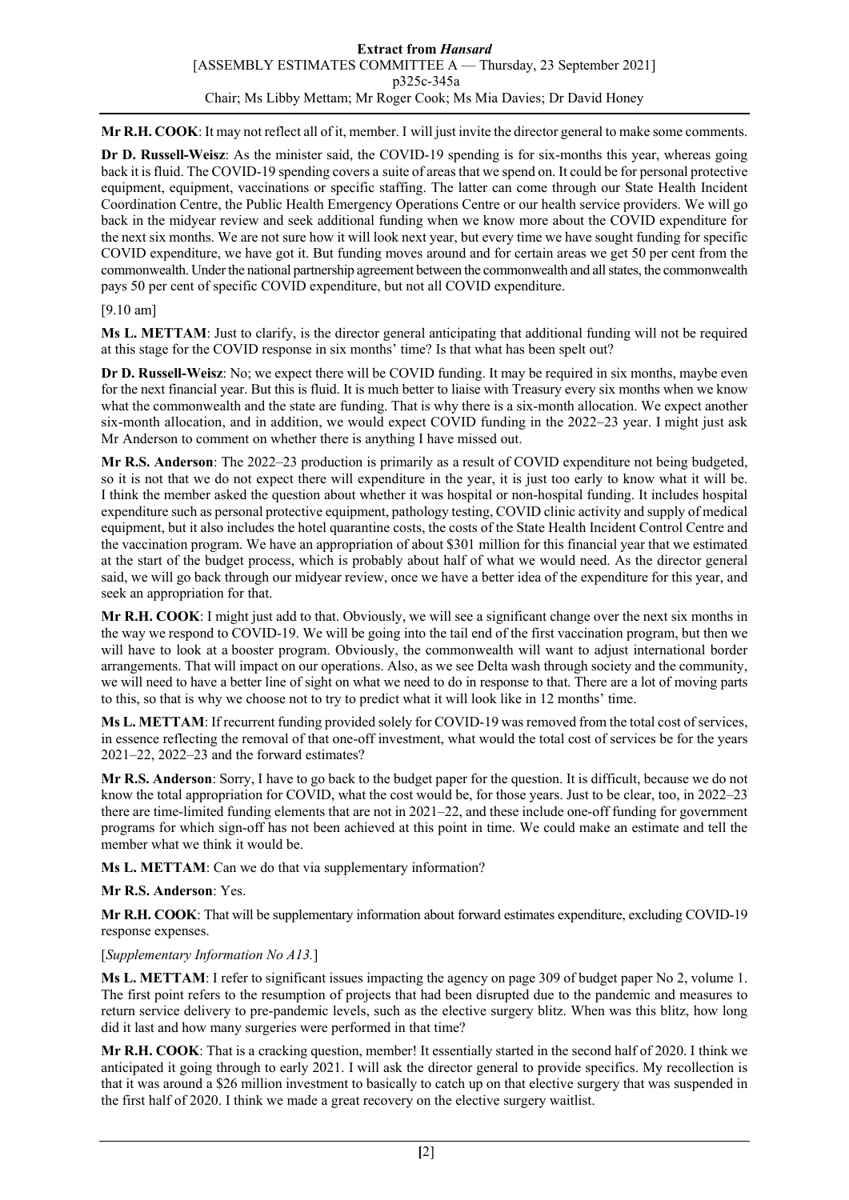**Mr R.H. COOK**: It may not reflect all of it, member. I will just invite the director general to make some comments.

**Dr D. Russell-Weisz**: As the minister said, the COVID-19 spending is for six-months this year, whereas going back it is fluid. The COVID-19 spending covers a suite of areas that we spend on. It could be for personal protective equipment, equipment, vaccinations or specific staffing. The latter can come through our State Health Incident Coordination Centre, the Public Health Emergency Operations Centre or our health service providers. We will go back in the midyear review and seek additional funding when we know more about the COVID expenditure for the next six months. We are not sure how it will look next year, but every time we have sought funding for specific COVID expenditure, we have got it. But funding moves around and for certain areas we get 50 per cent from the commonwealth. Under the national partnership agreement between the commonwealth and all states, the commonwealth pays 50 per cent of specific COVID expenditure, but not all COVID expenditure.

### [9.10 am]

**Ms L. METTAM**: Just to clarify, is the director general anticipating that additional funding will not be required at this stage for the COVID response in six months' time? Is that what has been spelt out?

**Dr D. Russell-Weisz**: No; we expect there will be COVID funding. It may be required in six months, maybe even for the next financial year. But this is fluid. It is much better to liaise with Treasury every six months when we know what the commonwealth and the state are funding. That is why there is a six-month allocation. We expect another six-month allocation, and in addition, we would expect COVID funding in the 2022–23 year. I might just ask Mr Anderson to comment on whether there is anything I have missed out.

**Mr R.S. Anderson**: The 2022–23 production is primarily as a result of COVID expenditure not being budgeted, so it is not that we do not expect there will expenditure in the year, it is just too early to know what it will be. I think the member asked the question about whether it was hospital or non-hospital funding. It includes hospital expenditure such as personal protective equipment, pathology testing, COVID clinic activity and supply of medical equipment, but it also includes the hotel quarantine costs, the costs of the State Health Incident Control Centre and the vaccination program. We have an appropriation of about \$301 million for this financial year that we estimated at the start of the budget process, which is probably about half of what we would need. As the director general said, we will go back through our midyear review, once we have a better idea of the expenditure for this year, and seek an appropriation for that.

**Mr R.H. COOK**: I might just add to that. Obviously, we will see a significant change over the next six months in the way we respond to COVID-19. We will be going into the tail end of the first vaccination program, but then we will have to look at a booster program. Obviously, the commonwealth will want to adjust international border arrangements. That will impact on our operations. Also, as we see Delta wash through society and the community, we will need to have a better line of sight on what we need to do in response to that. There are a lot of moving parts to this, so that is why we choose not to try to predict what it will look like in 12 months' time.

**Ms L. METTAM**: If recurrent funding provided solely for COVID-19 was removed from the total cost of services, in essence reflecting the removal of that one-off investment, what would the total cost of services be for the years 2021–22, 2022–23 and the forward estimates?

**Mr R.S. Anderson**: Sorry, I have to go back to the budget paper for the question. It is difficult, because we do not know the total appropriation for COVID, what the cost would be, for those years. Just to be clear, too, in 2022–23 there are time-limited funding elements that are not in 2021–22, and these include one-off funding for government programs for which sign-off has not been achieved at this point in time. We could make an estimate and tell the member what we think it would be.

**Ms L. METTAM**: Can we do that via supplementary information?

#### **Mr R.S. Anderson**: Yes.

**Mr R.H. COOK**: That will be supplementary information about forward estimates expenditure, excluding COVID-19 response expenses.

#### [*Supplementary Information No A13.*]

**Ms L. METTAM**: I refer to significant issues impacting the agency on page 309 of budget paper No 2, volume 1. The first point refers to the resumption of projects that had been disrupted due to the pandemic and measures to return service delivery to pre-pandemic levels, such as the elective surgery blitz. When was this blitz, how long did it last and how many surgeries were performed in that time?

**Mr R.H. COOK**: That is a cracking question, member! It essentially started in the second half of 2020. I think we anticipated it going through to early 2021. I will ask the director general to provide specifics. My recollection is that it was around a \$26 million investment to basically to catch up on that elective surgery that was suspended in the first half of 2020. I think we made a great recovery on the elective surgery waitlist.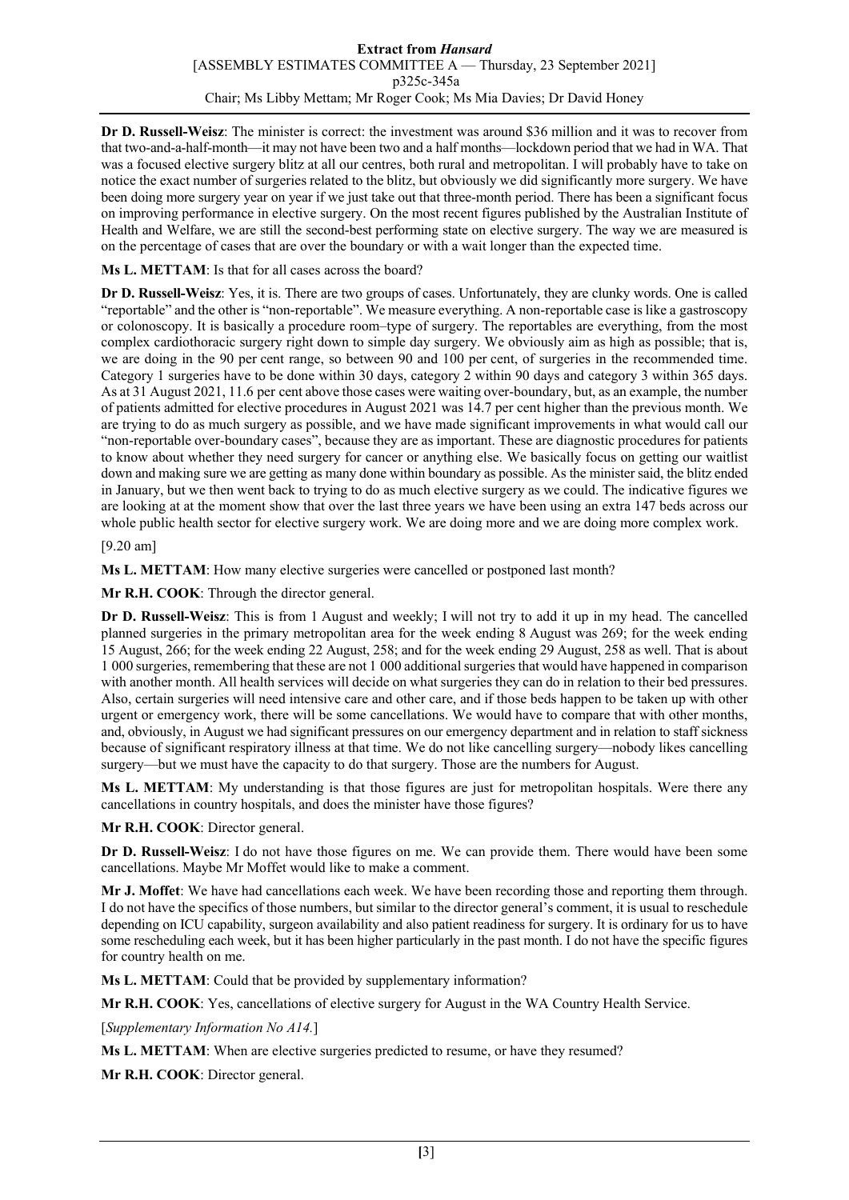**Dr D. Russell-Weisz**: The minister is correct: the investment was around \$36 million and it was to recover from that two-and-a-half-month—it may not have been two and a half months—lockdown period that we had in WA. That was a focused elective surgery blitz at all our centres, both rural and metropolitan. I will probably have to take on notice the exact number of surgeries related to the blitz, but obviously we did significantly more surgery. We have been doing more surgery year on year if we just take out that three-month period. There has been a significant focus on improving performance in elective surgery. On the most recent figures published by the Australian Institute of Health and Welfare, we are still the second-best performing state on elective surgery. The way we are measured is on the percentage of cases that are over the boundary or with a wait longer than the expected time.

**Ms L. METTAM**: Is that for all cases across the board?

**Dr D. Russell-Weisz**: Yes, it is. There are two groups of cases. Unfortunately, they are clunky words. One is called "reportable" and the other is "non-reportable". We measure everything. A non-reportable case is like a gastroscopy or colonoscopy. It is basically a procedure room–type of surgery. The reportables are everything, from the most complex cardiothoracic surgery right down to simple day surgery. We obviously aim as high as possible; that is, we are doing in the 90 per cent range, so between 90 and 100 per cent, of surgeries in the recommended time. Category 1 surgeries have to be done within 30 days, category 2 within 90 days and category 3 within 365 days. As at 31 August 2021, 11.6 per cent above those cases were waiting over-boundary, but, as an example, the number of patients admitted for elective procedures in August 2021 was 14.7 per cent higher than the previous month. We are trying to do as much surgery as possible, and we have made significant improvements in what would call our "non-reportable over-boundary cases", because they are as important. These are diagnostic procedures for patients to know about whether they need surgery for cancer or anything else. We basically focus on getting our waitlist down and making sure we are getting as many done within boundary as possible. As the minister said, the blitz ended in January, but we then went back to trying to do as much elective surgery as we could. The indicative figures we are looking at at the moment show that over the last three years we have been using an extra 147 beds across our whole public health sector for elective surgery work. We are doing more and we are doing more complex work.

[9.20 am]

**Ms L. METTAM**: How many elective surgeries were cancelled or postponed last month?

**Mr R.H. COOK**: Through the director general.

**Dr D. Russell-Weisz**: This is from 1 August and weekly; I will not try to add it up in my head. The cancelled planned surgeries in the primary metropolitan area for the week ending 8 August was 269; for the week ending 15 August, 266; for the week ending 22 August, 258; and for the week ending 29 August, 258 as well. That is about 1 000 surgeries, remembering that these are not 1 000 additional surgeries that would have happened in comparison with another month. All health services will decide on what surgeries they can do in relation to their bed pressures. Also, certain surgeries will need intensive care and other care, and if those beds happen to be taken up with other urgent or emergency work, there will be some cancellations. We would have to compare that with other months, and, obviously, in August we had significant pressures on our emergency department and in relation to staff sickness because of significant respiratory illness at that time. We do not like cancelling surgery—nobody likes cancelling surgery—but we must have the capacity to do that surgery. Those are the numbers for August.

**Ms L. METTAM**: My understanding is that those figures are just for metropolitan hospitals. Were there any cancellations in country hospitals, and does the minister have those figures?

**Mr R.H. COOK**: Director general.

**Dr D. Russell-Weisz**: I do not have those figures on me. We can provide them. There would have been some cancellations. Maybe Mr Moffet would like to make a comment.

**Mr J. Moffet**: We have had cancellations each week. We have been recording those and reporting them through. I do not have the specifics of those numbers, but similar to the director general's comment, it is usual to reschedule depending on ICU capability, surgeon availability and also patient readiness for surgery. It is ordinary for us to have some rescheduling each week, but it has been higher particularly in the past month. I do not have the specific figures for country health on me.

**Ms L. METTAM**: Could that be provided by supplementary information?

**Mr R.H. COOK**: Yes, cancellations of elective surgery for August in the WA Country Health Service.

[*Supplementary Information No A14.*]

**Ms L. METTAM**: When are elective surgeries predicted to resume, or have they resumed?

**Mr R.H. COOK**: Director general.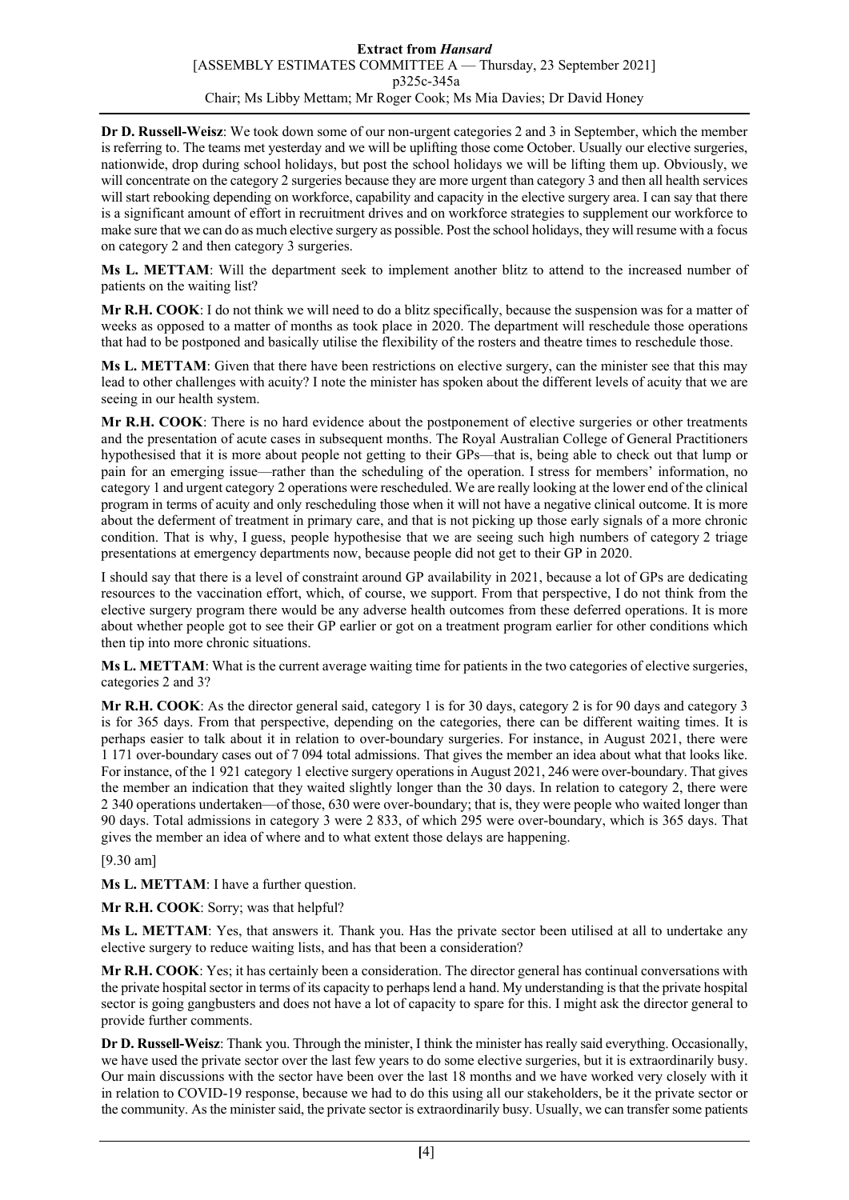**Dr D. Russell-Weisz**: We took down some of our non-urgent categories 2 and 3 in September, which the member is referring to. The teams met yesterday and we will be uplifting those come October. Usually our elective surgeries, nationwide, drop during school holidays, but post the school holidays we will be lifting them up. Obviously, we will concentrate on the category 2 surgeries because they are more urgent than category 3 and then all health services will start rebooking depending on workforce, capability and capacity in the elective surgery area. I can say that there is a significant amount of effort in recruitment drives and on workforce strategies to supplement our workforce to make sure that we can do as much elective surgery as possible. Post the school holidays, they will resume with a focus on category 2 and then category 3 surgeries.

**Ms L. METTAM**: Will the department seek to implement another blitz to attend to the increased number of patients on the waiting list?

**Mr R.H. COOK**: I do not think we will need to do a blitz specifically, because the suspension was for a matter of weeks as opposed to a matter of months as took place in 2020. The department will reschedule those operations that had to be postponed and basically utilise the flexibility of the rosters and theatre times to reschedule those.

**Ms L. METTAM**: Given that there have been restrictions on elective surgery, can the minister see that this may lead to other challenges with acuity? I note the minister has spoken about the different levels of acuity that we are seeing in our health system.

**Mr R.H. COOK**: There is no hard evidence about the postponement of elective surgeries or other treatments and the presentation of acute cases in subsequent months. The Royal Australian College of General Practitioners hypothesised that it is more about people not getting to their GPs—that is, being able to check out that lump or pain for an emerging issue—rather than the scheduling of the operation. I stress for members' information, no category 1 and urgent category 2 operations were rescheduled. We are really looking at the lower end of the clinical program in terms of acuity and only rescheduling those when it will not have a negative clinical outcome. It is more about the deferment of treatment in primary care, and that is not picking up those early signals of a more chronic condition. That is why, I guess, people hypothesise that we are seeing such high numbers of category 2 triage presentations at emergency departments now, because people did not get to their GP in 2020.

I should say that there is a level of constraint around GP availability in 2021, because a lot of GPs are dedicating resources to the vaccination effort, which, of course, we support. From that perspective, I do not think from the elective surgery program there would be any adverse health outcomes from these deferred operations. It is more about whether people got to see their GP earlier or got on a treatment program earlier for other conditions which then tip into more chronic situations.

**Ms L. METTAM**: What is the current average waiting time for patients in the two categories of elective surgeries, categories 2 and 3?

**Mr R.H. COOK**: As the director general said, category 1 is for 30 days, category 2 is for 90 days and category 3 is for 365 days. From that perspective, depending on the categories, there can be different waiting times. It is perhaps easier to talk about it in relation to over-boundary surgeries. For instance, in August 2021, there were 1 171 over-boundary cases out of 7 094 total admissions. That gives the member an idea about what that looks like. For instance, of the 1 921 category 1 elective surgery operations in August 2021, 246 were over-boundary. That gives the member an indication that they waited slightly longer than the 30 days. In relation to category 2, there were 2 340 operations undertaken—of those, 630 were over-boundary; that is, they were people who waited longer than 90 days. Total admissions in category 3 were 2 833, of which 295 were over-boundary, which is 365 days. That gives the member an idea of where and to what extent those delays are happening.

[9.30 am]

**Ms L. METTAM**: I have a further question.

**Mr R.H. COOK**: Sorry; was that helpful?

**Ms L. METTAM**: Yes, that answers it. Thank you. Has the private sector been utilised at all to undertake any elective surgery to reduce waiting lists, and has that been a consideration?

**Mr R.H. COOK**: Yes; it has certainly been a consideration. The director general has continual conversations with the private hospital sector in terms of its capacity to perhaps lend a hand. My understanding is that the private hospital sector is going gangbusters and does not have a lot of capacity to spare for this. I might ask the director general to provide further comments.

**Dr D. Russell-Weisz**: Thank you. Through the minister, I think the minister has really said everything. Occasionally, we have used the private sector over the last few years to do some elective surgeries, but it is extraordinarily busy. Our main discussions with the sector have been over the last 18 months and we have worked very closely with it in relation to COVID-19 response, because we had to do this using all our stakeholders, be it the private sector or the community. As the minister said, the private sector is extraordinarily busy. Usually, we can transfer some patients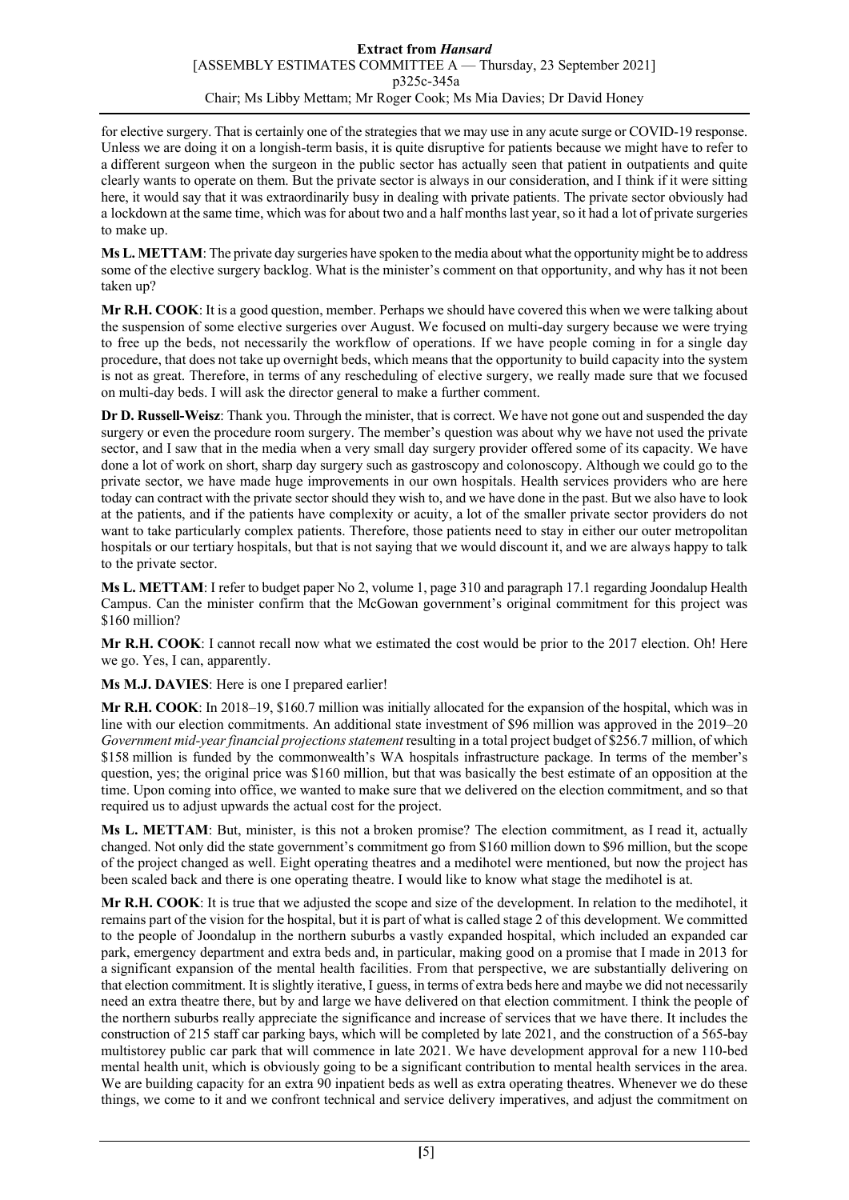for elective surgery. That is certainly one of the strategies that we may use in any acute surge or COVID-19 response. Unless we are doing it on a longish-term basis, it is quite disruptive for patients because we might have to refer to a different surgeon when the surgeon in the public sector has actually seen that patient in outpatients and quite clearly wants to operate on them. But the private sector is always in our consideration, and I think if it were sitting here, it would say that it was extraordinarily busy in dealing with private patients. The private sector obviously had a lockdown at the same time, which was for about two and a half months last year, so it had a lot of private surgeries to make up.

**Ms L. METTAM**: The private day surgeries have spoken to the media about what the opportunity might be to address some of the elective surgery backlog. What is the minister's comment on that opportunity, and why has it not been taken up?

**Mr R.H. COOK**: It is a good question, member. Perhaps we should have covered this when we were talking about the suspension of some elective surgeries over August. We focused on multi-day surgery because we were trying to free up the beds, not necessarily the workflow of operations. If we have people coming in for a single day procedure, that does not take up overnight beds, which means that the opportunity to build capacity into the system is not as great. Therefore, in terms of any rescheduling of elective surgery, we really made sure that we focused on multi-day beds. I will ask the director general to make a further comment.

**Dr D. Russell-Weisz**: Thank you. Through the minister, that is correct. We have not gone out and suspended the day surgery or even the procedure room surgery. The member's question was about why we have not used the private sector, and I saw that in the media when a very small day surgery provider offered some of its capacity. We have done a lot of work on short, sharp day surgery such as gastroscopy and colonoscopy. Although we could go to the private sector, we have made huge improvements in our own hospitals. Health services providers who are here today can contract with the private sector should they wish to, and we have done in the past. But we also have to look at the patients, and if the patients have complexity or acuity, a lot of the smaller private sector providers do not want to take particularly complex patients. Therefore, those patients need to stay in either our outer metropolitan hospitals or our tertiary hospitals, but that is not saying that we would discount it, and we are always happy to talk to the private sector.

**Ms L. METTAM**: I refer to budget paper No 2, volume 1, page 310 and paragraph 17.1 regarding Joondalup Health Campus. Can the minister confirm that the McGowan government's original commitment for this project was \$160 million?

**Mr R.H. COOK**: I cannot recall now what we estimated the cost would be prior to the 2017 election. Oh! Here we go. Yes, I can, apparently.

**Ms M.J. DAVIES**: Here is one I prepared earlier!

**Mr R.H. COOK**: In 2018–19, \$160.7 million was initially allocated for the expansion of the hospital, which was in line with our election commitments. An additional state investment of \$96 million was approved in the 2019–20 *Government mid-year financial projections statement* resulting in a total project budget of \$256.7 million, of which \$158 million is funded by the commonwealth's WA hospitals infrastructure package. In terms of the member's question, yes; the original price was \$160 million, but that was basically the best estimate of an opposition at the time. Upon coming into office, we wanted to make sure that we delivered on the election commitment, and so that required us to adjust upwards the actual cost for the project.

**Ms L. METTAM**: But, minister, is this not a broken promise? The election commitment, as I read it, actually changed. Not only did the state government's commitment go from \$160 million down to \$96 million, but the scope of the project changed as well. Eight operating theatres and a medihotel were mentioned, but now the project has been scaled back and there is one operating theatre. I would like to know what stage the medihotel is at.

**Mr R.H. COOK**: It is true that we adjusted the scope and size of the development. In relation to the medihotel, it remains part of the vision for the hospital, but it is part of what is called stage 2 of this development. We committed to the people of Joondalup in the northern suburbs a vastly expanded hospital, which included an expanded car park, emergency department and extra beds and, in particular, making good on a promise that I made in 2013 for a significant expansion of the mental health facilities. From that perspective, we are substantially delivering on that election commitment. It is slightly iterative, I guess, in terms of extra beds here and maybe we did not necessarily need an extra theatre there, but by and large we have delivered on that election commitment. I think the people of the northern suburbs really appreciate the significance and increase of services that we have there. It includes the construction of 215 staff car parking bays, which will be completed by late 2021, and the construction of a 565-bay multistorey public car park that will commence in late 2021. We have development approval for a new 110-bed mental health unit, which is obviously going to be a significant contribution to mental health services in the area. We are building capacity for an extra 90 inpatient beds as well as extra operating theatres. Whenever we do these things, we come to it and we confront technical and service delivery imperatives, and adjust the commitment on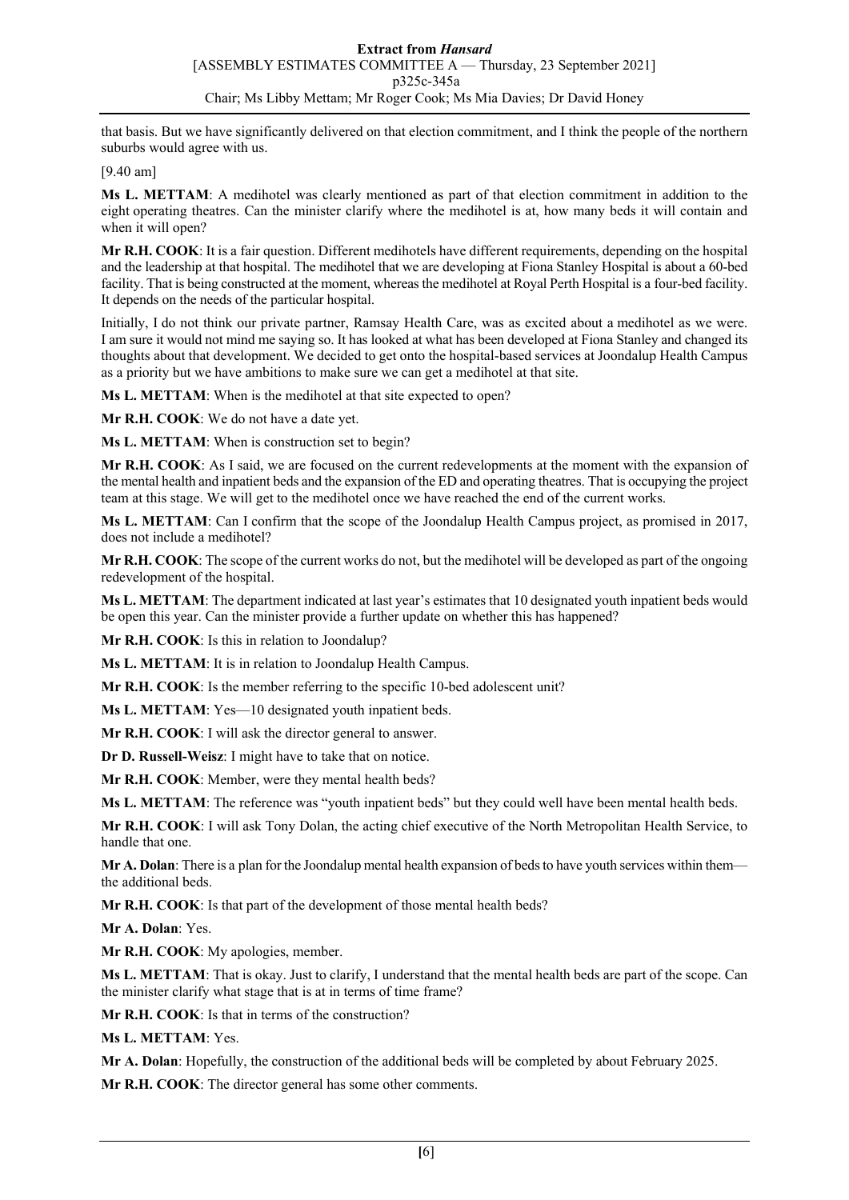that basis. But we have significantly delivered on that election commitment, and I think the people of the northern suburbs would agree with us.

[9.40 am]

**Ms L. METTAM**: A medihotel was clearly mentioned as part of that election commitment in addition to the eight operating theatres. Can the minister clarify where the medihotel is at, how many beds it will contain and when it will open?

**Mr R.H. COOK**: It is a fair question. Different medihotels have different requirements, depending on the hospital and the leadership at that hospital. The medihotel that we are developing at Fiona Stanley Hospital is about a 60-bed facility. That is being constructed at the moment, whereas the medihotel at Royal Perth Hospital is a four-bed facility. It depends on the needs of the particular hospital.

Initially, I do not think our private partner, Ramsay Health Care, was as excited about a medihotel as we were. I am sure it would not mind me saying so. It has looked at what has been developed at Fiona Stanley and changed its thoughts about that development. We decided to get onto the hospital-based services at Joondalup Health Campus as a priority but we have ambitions to make sure we can get a medihotel at that site.

**Ms L. METTAM**: When is the medihotel at that site expected to open?

**Mr R.H. COOK**: We do not have a date yet.

**Ms L. METTAM**: When is construction set to begin?

**Mr R.H. COOK**: As I said, we are focused on the current redevelopments at the moment with the expansion of the mental health and inpatient beds and the expansion of the ED and operating theatres. That is occupying the project team at this stage. We will get to the medihotel once we have reached the end of the current works.

**Ms L. METTAM**: Can I confirm that the scope of the Joondalup Health Campus project, as promised in 2017, does not include a medihotel?

**Mr R.H. COOK**: The scope of the current works do not, but the medihotel will be developed as part of the ongoing redevelopment of the hospital.

**Ms L. METTAM**: The department indicated at last year's estimates that 10 designated youth inpatient beds would be open this year. Can the minister provide a further update on whether this has happened?

**Mr R.H. COOK**: Is this in relation to Joondalup?

**Ms L. METTAM**: It is in relation to Joondalup Health Campus.

**Mr R.H. COOK**: Is the member referring to the specific 10-bed adolescent unit?

**Ms L. METTAM**: Yes—10 designated youth inpatient beds.

**Mr R.H. COOK**: I will ask the director general to answer.

**Dr D. Russell-Weisz**: I might have to take that on notice.

**Mr R.H. COOK**: Member, were they mental health beds?

**Ms L. METTAM**: The reference was "youth inpatient beds" but they could well have been mental health beds.

**Mr R.H. COOK**: I will ask Tony Dolan, the acting chief executive of the North Metropolitan Health Service, to handle that one.

**Mr A. Dolan**: There is a plan for the Joondalup mental health expansion of beds to have youth services within them the additional beds.

**Mr R.H. COOK**: Is that part of the development of those mental health beds?

**Mr A. Dolan**: Yes.

**Mr R.H. COOK**: My apologies, member.

**Ms L. METTAM**: That is okay. Just to clarify, I understand that the mental health beds are part of the scope. Can the minister clarify what stage that is at in terms of time frame?

**Mr R.H. COOK**: Is that in terms of the construction?

**Ms L. METTAM**: Yes.

**Mr A. Dolan**: Hopefully, the construction of the additional beds will be completed by about February 2025.

**Mr R.H. COOK**: The director general has some other comments.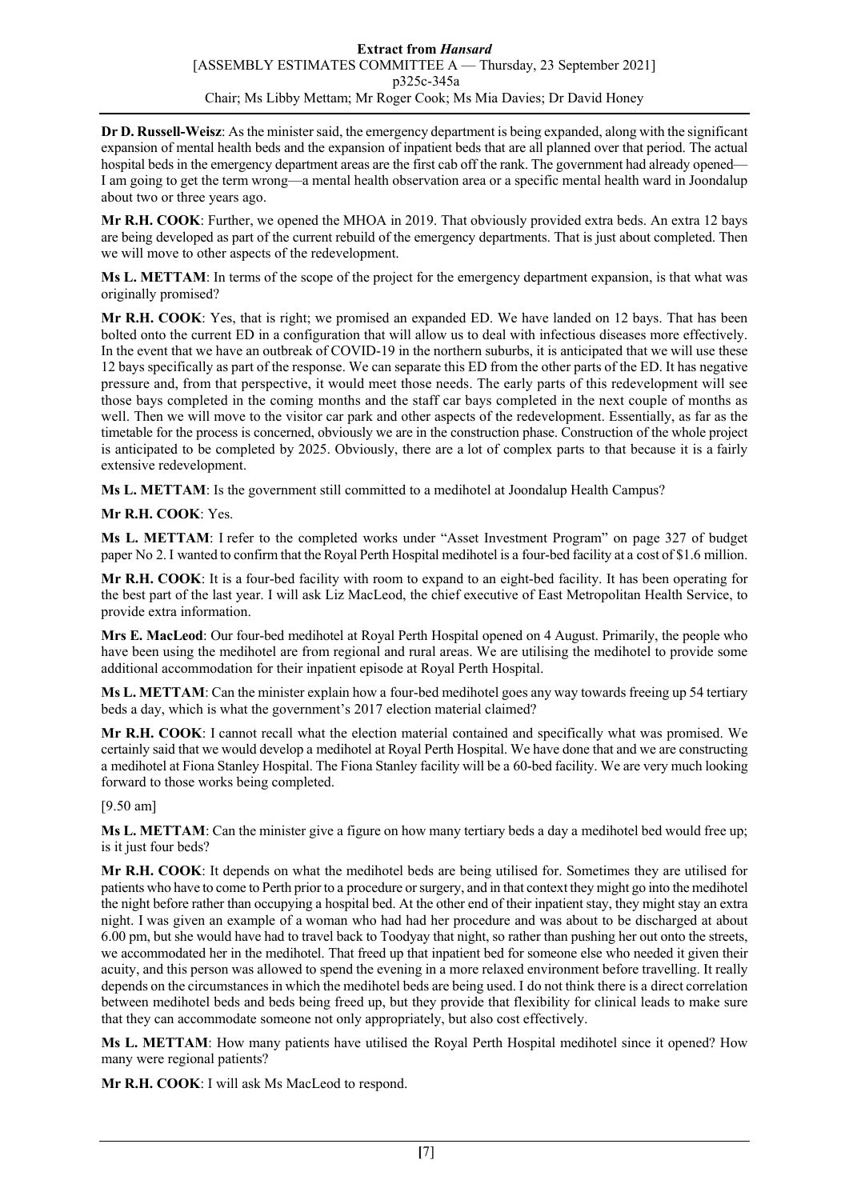**Dr D. Russell-Weisz**: As the minister said, the emergency department is being expanded, along with the significant expansion of mental health beds and the expansion of inpatient beds that are all planned over that period. The actual hospital beds in the emergency department areas are the first cab off the rank. The government had already opened— I am going to get the term wrong—a mental health observation area or a specific mental health ward in Joondalup about two or three years ago.

**Mr R.H. COOK**: Further, we opened the MHOA in 2019. That obviously provided extra beds. An extra 12 bays are being developed as part of the current rebuild of the emergency departments. That is just about completed. Then we will move to other aspects of the redevelopment.

**Ms L. METTAM**: In terms of the scope of the project for the emergency department expansion, is that what was originally promised?

**Mr R.H. COOK**: Yes, that is right; we promised an expanded ED. We have landed on 12 bays. That has been bolted onto the current ED in a configuration that will allow us to deal with infectious diseases more effectively. In the event that we have an outbreak of COVID-19 in the northern suburbs, it is anticipated that we will use these 12 bays specifically as part of the response. We can separate this ED from the other parts of the ED. It has negative pressure and, from that perspective, it would meet those needs. The early parts of this redevelopment will see those bays completed in the coming months and the staff car bays completed in the next couple of months as well. Then we will move to the visitor car park and other aspects of the redevelopment. Essentially, as far as the timetable for the process is concerned, obviously we are in the construction phase. Construction of the whole project is anticipated to be completed by 2025. Obviously, there are a lot of complex parts to that because it is a fairly extensive redevelopment.

**Ms L. METTAM**: Is the government still committed to a medihotel at Joondalup Health Campus?

# **Mr R.H. COOK**: Yes.

**Ms L. METTAM**: I refer to the completed works under "Asset Investment Program" on page 327 of budget paper No 2. I wanted to confirm that the Royal Perth Hospital medihotel is a four-bed facility at a cost of \$1.6 million.

**Mr R.H. COOK**: It is a four-bed facility with room to expand to an eight-bed facility. It has been operating for the best part of the last year. I will ask Liz MacLeod, the chief executive of East Metropolitan Health Service, to provide extra information.

**Mrs E. MacLeod**: Our four-bed medihotel at Royal Perth Hospital opened on 4 August. Primarily, the people who have been using the medihotel are from regional and rural areas. We are utilising the medihotel to provide some additional accommodation for their inpatient episode at Royal Perth Hospital.

**Ms L. METTAM**: Can the minister explain how a four-bed medihotel goes any way towards freeing up 54 tertiary beds a day, which is what the government's 2017 election material claimed?

**Mr R.H. COOK**: I cannot recall what the election material contained and specifically what was promised. We certainly said that we would develop a medihotel at Royal Perth Hospital. We have done that and we are constructing a medihotel at Fiona Stanley Hospital. The Fiona Stanley facility will be a 60-bed facility. We are very much looking forward to those works being completed.

#### [9.50 am]

**Ms L. METTAM**: Can the minister give a figure on how many tertiary beds a day a medihotel bed would free up; is it just four beds?

**Mr R.H. COOK**: It depends on what the medihotel beds are being utilised for. Sometimes they are utilised for patients who have to come to Perth prior to a procedure or surgery, and in that context they might go into the medihotel the night before rather than occupying a hospital bed. At the other end of their inpatient stay, they might stay an extra night. I was given an example of a woman who had had her procedure and was about to be discharged at about 6.00 pm, but she would have had to travel back to Toodyay that night, so rather than pushing her out onto the streets, we accommodated her in the medihotel. That freed up that inpatient bed for someone else who needed it given their acuity, and this person was allowed to spend the evening in a more relaxed environment before travelling. It really depends on the circumstances in which the medihotel beds are being used. I do not think there is a direct correlation between medihotel beds and beds being freed up, but they provide that flexibility for clinical leads to make sure that they can accommodate someone not only appropriately, but also cost effectively.

**Ms L. METTAM**: How many patients have utilised the Royal Perth Hospital medihotel since it opened? How many were regional patients?

**Mr R.H. COOK**: I will ask Ms MacLeod to respond.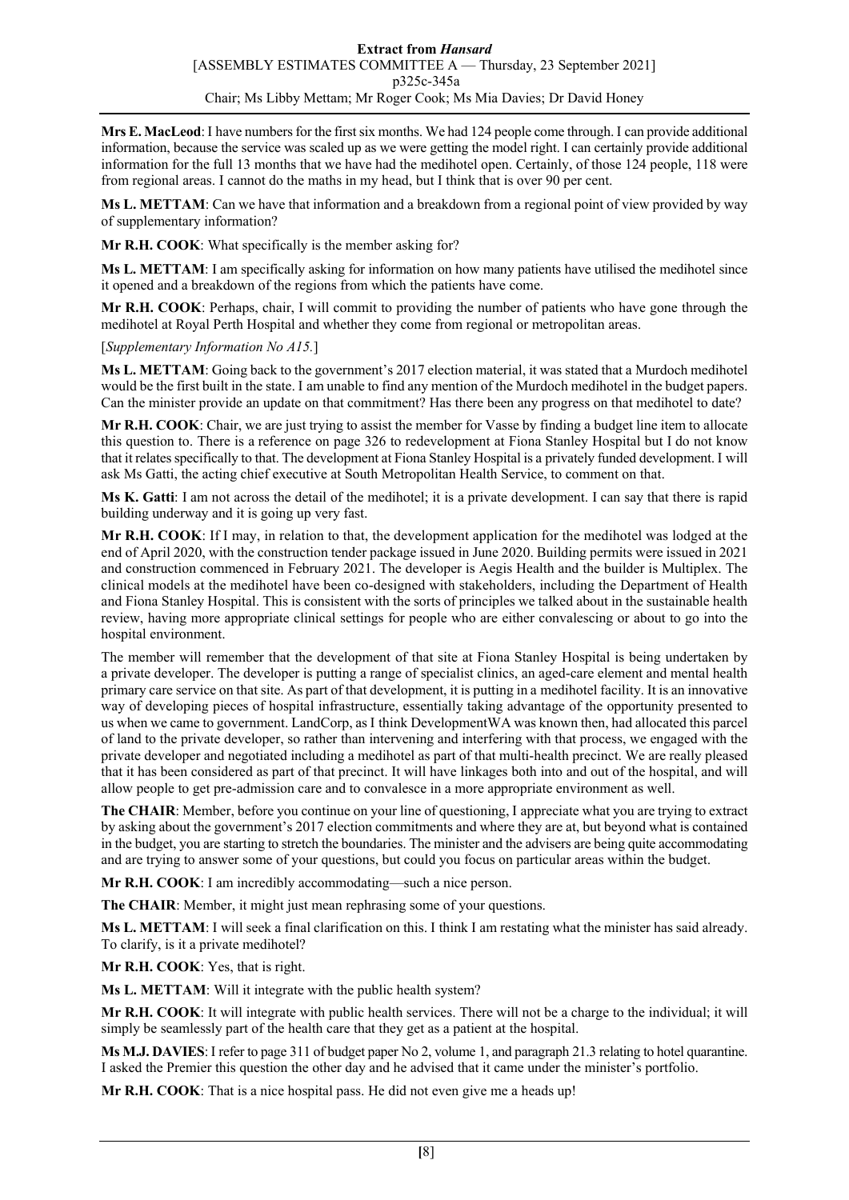**Mrs E. MacLeod**: I have numbers for the first six months. We had 124 people come through. I can provide additional information, because the service was scaled up as we were getting the model right. I can certainly provide additional information for the full 13 months that we have had the medihotel open. Certainly, of those 124 people, 118 were from regional areas. I cannot do the maths in my head, but I think that is over 90 per cent.

**Ms L. METTAM**: Can we have that information and a breakdown from a regional point of view provided by way of supplementary information?

**Mr R.H. COOK**: What specifically is the member asking for?

**Ms L. METTAM**: I am specifically asking for information on how many patients have utilised the medihotel since it opened and a breakdown of the regions from which the patients have come.

**Mr R.H. COOK**: Perhaps, chair, I will commit to providing the number of patients who have gone through the medihotel at Royal Perth Hospital and whether they come from regional or metropolitan areas.

[*Supplementary Information No A15.*]

**Ms L. METTAM**: Going back to the government's 2017 election material, it was stated that a Murdoch medihotel would be the first built in the state. I am unable to find any mention of the Murdoch medihotel in the budget papers. Can the minister provide an update on that commitment? Has there been any progress on that medihotel to date?

**Mr R.H. COOK**: Chair, we are just trying to assist the member for Vasse by finding a budget line item to allocate this question to. There is a reference on page 326 to redevelopment at Fiona Stanley Hospital but I do not know that it relates specifically to that. The development at Fiona Stanley Hospital is a privately funded development. I will ask Ms Gatti, the acting chief executive at South Metropolitan Health Service, to comment on that.

**Ms K. Gatti**: I am not across the detail of the medihotel; it is a private development. I can say that there is rapid building underway and it is going up very fast.

**Mr R.H. COOK**: If I may, in relation to that, the development application for the medihotel was lodged at the end of April 2020, with the construction tender package issued in June 2020. Building permits were issued in 2021 and construction commenced in February 2021. The developer is Aegis Health and the builder is Multiplex. The clinical models at the medihotel have been co-designed with stakeholders, including the Department of Health and Fiona Stanley Hospital. This is consistent with the sorts of principles we talked about in the sustainable health review, having more appropriate clinical settings for people who are either convalescing or about to go into the hospital environment.

The member will remember that the development of that site at Fiona Stanley Hospital is being undertaken by a private developer. The developer is putting a range of specialist clinics, an aged-care element and mental health primary care service on that site. As part of that development, it is putting in a medihotel facility. It is an innovative way of developing pieces of hospital infrastructure, essentially taking advantage of the opportunity presented to us when we came to government. LandCorp, as I think DevelopmentWA was known then, had allocated this parcel of land to the private developer, so rather than intervening and interfering with that process, we engaged with the private developer and negotiated including a medihotel as part of that multi-health precinct. We are really pleased that it has been considered as part of that precinct. It will have linkages both into and out of the hospital, and will allow people to get pre-admission care and to convalesce in a more appropriate environment as well.

**The CHAIR**: Member, before you continue on your line of questioning, I appreciate what you are trying to extract by asking about the government's 2017 election commitments and where they are at, but beyond what is contained in the budget, you are starting to stretch the boundaries. The minister and the advisers are being quite accommodating and are trying to answer some of your questions, but could you focus on particular areas within the budget.

**Mr R.H. COOK**: I am incredibly accommodating—such a nice person.

**The CHAIR**: Member, it might just mean rephrasing some of your questions.

**Ms L. METTAM**: I will seek a final clarification on this. I think I am restating what the minister has said already. To clarify, is it a private medihotel?

**Mr R.H. COOK**: Yes, that is right.

**Ms L. METTAM**: Will it integrate with the public health system?

**Mr R.H. COOK**: It will integrate with public health services. There will not be a charge to the individual; it will simply be seamlessly part of the health care that they get as a patient at the hospital.

**Ms M.J. DAVIES**: I refer to page 311 of budget paper No 2, volume 1, and paragraph 21.3 relating to hotel quarantine. I asked the Premier this question the other day and he advised that it came under the minister's portfolio.

**Mr R.H. COOK**: That is a nice hospital pass. He did not even give me a heads up!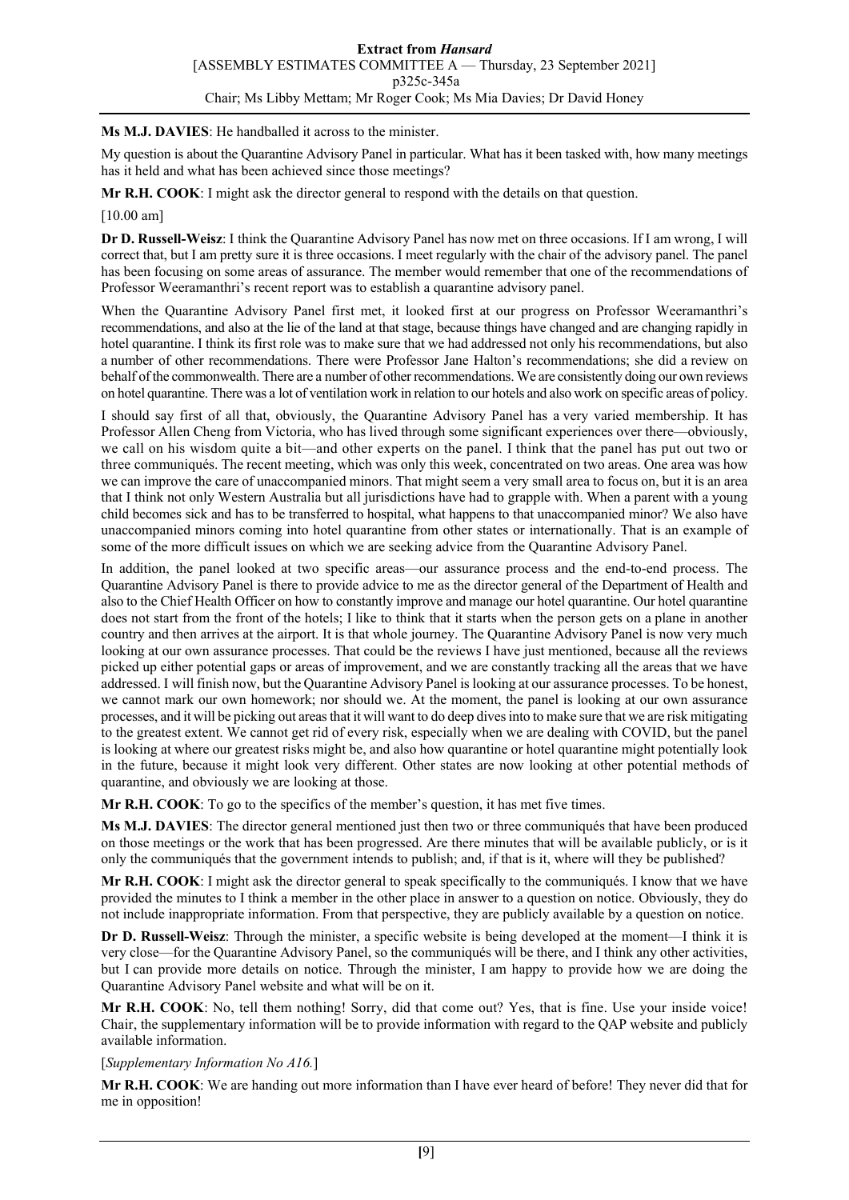### **Ms M.J. DAVIES**: He handballed it across to the minister.

My question is about the Quarantine Advisory Panel in particular. What has it been tasked with, how many meetings has it held and what has been achieved since those meetings?

**Mr R.H. COOK**: I might ask the director general to respond with the details on that question.

#### [10.00 am]

**Dr D. Russell-Weisz**: I think the Quarantine Advisory Panel has now met on three occasions. If I am wrong, I will correct that, but I am pretty sure it is three occasions. I meet regularly with the chair of the advisory panel. The panel has been focusing on some areas of assurance. The member would remember that one of the recommendations of Professor Weeramanthri's recent report was to establish a quarantine advisory panel.

When the Quarantine Advisory Panel first met, it looked first at our progress on Professor Weeramanthri's recommendations, and also at the lie of the land at that stage, because things have changed and are changing rapidly in hotel quarantine. I think its first role was to make sure that we had addressed not only his recommendations, but also a number of other recommendations. There were Professor Jane Halton's recommendations; she did a review on behalf of the commonwealth. There are a number of other recommendations. We are consistently doing our own reviews on hotel quarantine. There was a lot of ventilation work in relation to our hotels and also work on specific areas of policy.

I should say first of all that, obviously, the Quarantine Advisory Panel has a very varied membership. It has Professor Allen Cheng from Victoria, who has lived through some significant experiences over there—obviously, we call on his wisdom quite a bit—and other experts on the panel. I think that the panel has put out two or three communiqués. The recent meeting, which was only this week, concentrated on two areas. One area was how we can improve the care of unaccompanied minors. That might seem a very small area to focus on, but it is an area that I think not only Western Australia but all jurisdictions have had to grapple with. When a parent with a young child becomes sick and has to be transferred to hospital, what happens to that unaccompanied minor? We also have unaccompanied minors coming into hotel quarantine from other states or internationally. That is an example of some of the more difficult issues on which we are seeking advice from the Quarantine Advisory Panel.

In addition, the panel looked at two specific areas—our assurance process and the end-to-end process. The Quarantine Advisory Panel is there to provide advice to me as the director general of the Department of Health and also to the Chief Health Officer on how to constantly improve and manage our hotel quarantine. Our hotel quarantine does not start from the front of the hotels; I like to think that it starts when the person gets on a plane in another country and then arrives at the airport. It is that whole journey. The Quarantine Advisory Panel is now very much looking at our own assurance processes. That could be the reviews I have just mentioned, because all the reviews picked up either potential gaps or areas of improvement, and we are constantly tracking all the areas that we have addressed. I will finish now, but the Quarantine Advisory Panel is looking at our assurance processes. To be honest, we cannot mark our own homework; nor should we. At the moment, the panel is looking at our own assurance processes, and it will be picking out areas that it will want to do deep dives into to make sure that we are risk mitigating to the greatest extent. We cannot get rid of every risk, especially when we are dealing with COVID, but the panel is looking at where our greatest risks might be, and also how quarantine or hotel quarantine might potentially look in the future, because it might look very different. Other states are now looking at other potential methods of quarantine, and obviously we are looking at those.

**Mr R.H. COOK**: To go to the specifics of the member's question, it has met five times.

**Ms M.J. DAVIES**: The director general mentioned just then two or three communiqués that have been produced on those meetings or the work that has been progressed. Are there minutes that will be available publicly, or is it only the communiqués that the government intends to publish; and, if that is it, where will they be published?

**Mr R.H. COOK**: I might ask the director general to speak specifically to the communiqués. I know that we have provided the minutes to I think a member in the other place in answer to a question on notice. Obviously, they do not include inappropriate information. From that perspective, they are publicly available by a question on notice.

**Dr D. Russell-Weisz**: Through the minister, a specific website is being developed at the moment—I think it is very close—for the Quarantine Advisory Panel, so the communiqués will be there, and I think any other activities, but I can provide more details on notice. Through the minister, I am happy to provide how we are doing the Quarantine Advisory Panel website and what will be on it.

**Mr R.H. COOK**: No, tell them nothing! Sorry, did that come out? Yes, that is fine. Use your inside voice! Chair, the supplementary information will be to provide information with regard to the QAP website and publicly available information.

#### [*Supplementary Information No A16.*]

**Mr R.H. COOK**: We are handing out more information than I have ever heard of before! They never did that for me in opposition!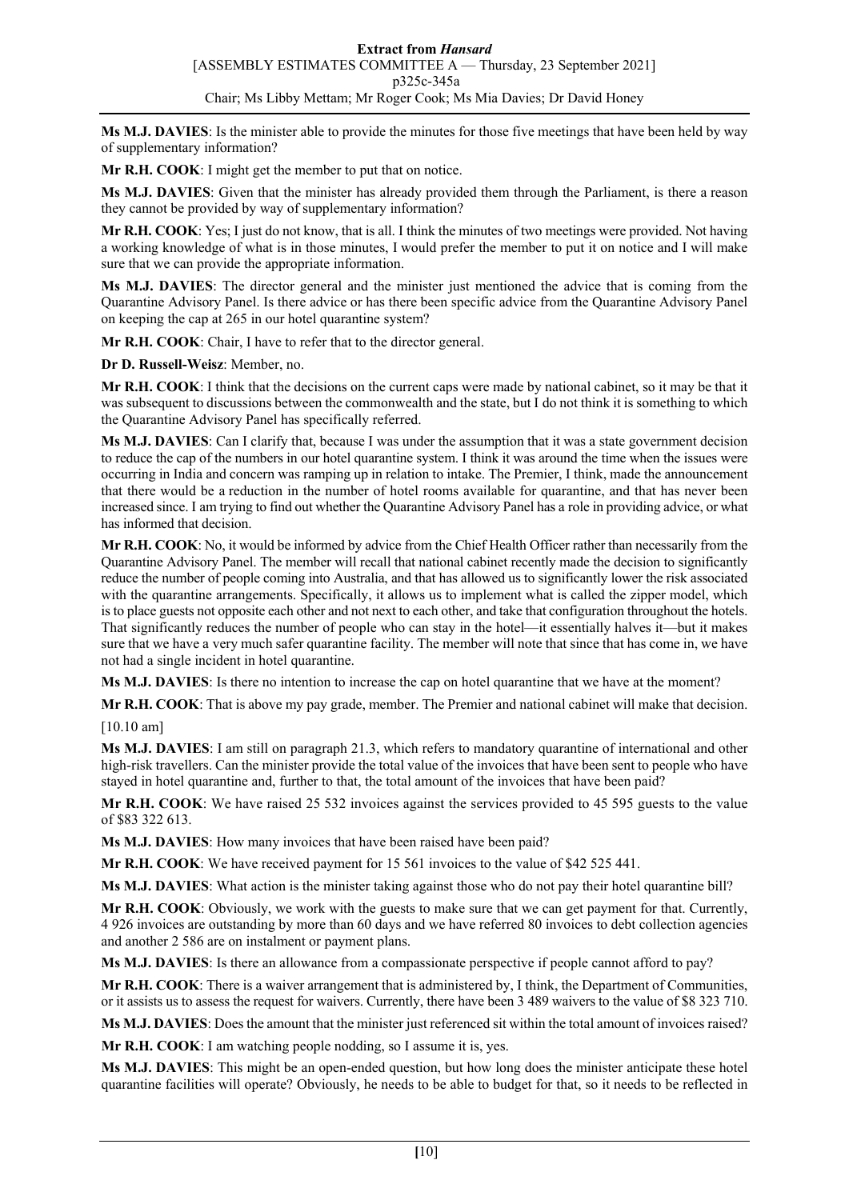**Ms M.J. DAVIES**: Is the minister able to provide the minutes for those five meetings that have been held by way of supplementary information?

**Mr R.H. COOK**: I might get the member to put that on notice.

**Ms M.J. DAVIES**: Given that the minister has already provided them through the Parliament, is there a reason they cannot be provided by way of supplementary information?

**Mr R.H. COOK**: Yes; I just do not know, that is all. I think the minutes of two meetings were provided. Not having a working knowledge of what is in those minutes, I would prefer the member to put it on notice and I will make sure that we can provide the appropriate information.

**Ms M.J. DAVIES**: The director general and the minister just mentioned the advice that is coming from the Quarantine Advisory Panel. Is there advice or has there been specific advice from the Quarantine Advisory Panel on keeping the cap at 265 in our hotel quarantine system?

**Mr R.H. COOK**: Chair, I have to refer that to the director general.

**Dr D. Russell-Weisz**: Member, no.

**Mr R.H. COOK**: I think that the decisions on the current caps were made by national cabinet, so it may be that it was subsequent to discussions between the commonwealth and the state, but I do not think it is something to which the Quarantine Advisory Panel has specifically referred.

**Ms M.J. DAVIES**: Can I clarify that, because I was under the assumption that it was a state government decision to reduce the cap of the numbers in our hotel quarantine system. I think it was around the time when the issues were occurring in India and concern was ramping up in relation to intake. The Premier, I think, made the announcement that there would be a reduction in the number of hotel rooms available for quarantine, and that has never been increased since. I am trying to find out whether the Quarantine Advisory Panel has a role in providing advice, or what has informed that decision.

**Mr R.H. COOK**: No, it would be informed by advice from the Chief Health Officer rather than necessarily from the Quarantine Advisory Panel. The member will recall that national cabinet recently made the decision to significantly reduce the number of people coming into Australia, and that has allowed us to significantly lower the risk associated with the quarantine arrangements. Specifically, it allows us to implement what is called the zipper model, which is to place guests not opposite each other and not next to each other, and take that configuration throughout the hotels. That significantly reduces the number of people who can stay in the hotel—it essentially halves it—but it makes sure that we have a very much safer quarantine facility. The member will note that since that has come in, we have not had a single incident in hotel quarantine.

**Ms M.J. DAVIES**: Is there no intention to increase the cap on hotel quarantine that we have at the moment?

**Mr R.H. COOK**: That is above my pay grade, member. The Premier and national cabinet will make that decision. [10.10 am]

**Ms M.J. DAVIES**: I am still on paragraph 21.3, which refers to mandatory quarantine of international and other high-risk travellers. Can the minister provide the total value of the invoices that have been sent to people who have stayed in hotel quarantine and, further to that, the total amount of the invoices that have been paid?

**Mr R.H. COOK**: We have raised 25 532 invoices against the services provided to 45 595 guests to the value of \$83 322 613.

**Ms M.J. DAVIES**: How many invoices that have been raised have been paid?

**Mr R.H. COOK**: We have received payment for 15 561 invoices to the value of \$42 525 441.

**Ms M.J. DAVIES**: What action is the minister taking against those who do not pay their hotel quarantine bill?

**Mr R.H. COOK**: Obviously, we work with the guests to make sure that we can get payment for that. Currently, 4 926 invoices are outstanding by more than 60 days and we have referred 80 invoices to debt collection agencies and another 2 586 are on instalment or payment plans.

**Ms M.J. DAVIES**: Is there an allowance from a compassionate perspective if people cannot afford to pay?

**Mr R.H. COOK**: There is a waiver arrangement that is administered by, I think, the Department of Communities, or it assists us to assess the request for waivers. Currently, there have been 3 489 waivers to the value of \$8 323 710.

**Ms M.J. DAVIES**: Does the amount that the minister just referenced sit within the total amount of invoices raised?

**Mr R.H. COOK**: I am watching people nodding, so I assume it is, yes.

**Ms M.J. DAVIES**: This might be an open-ended question, but how long does the minister anticipate these hotel quarantine facilities will operate? Obviously, he needs to be able to budget for that, so it needs to be reflected in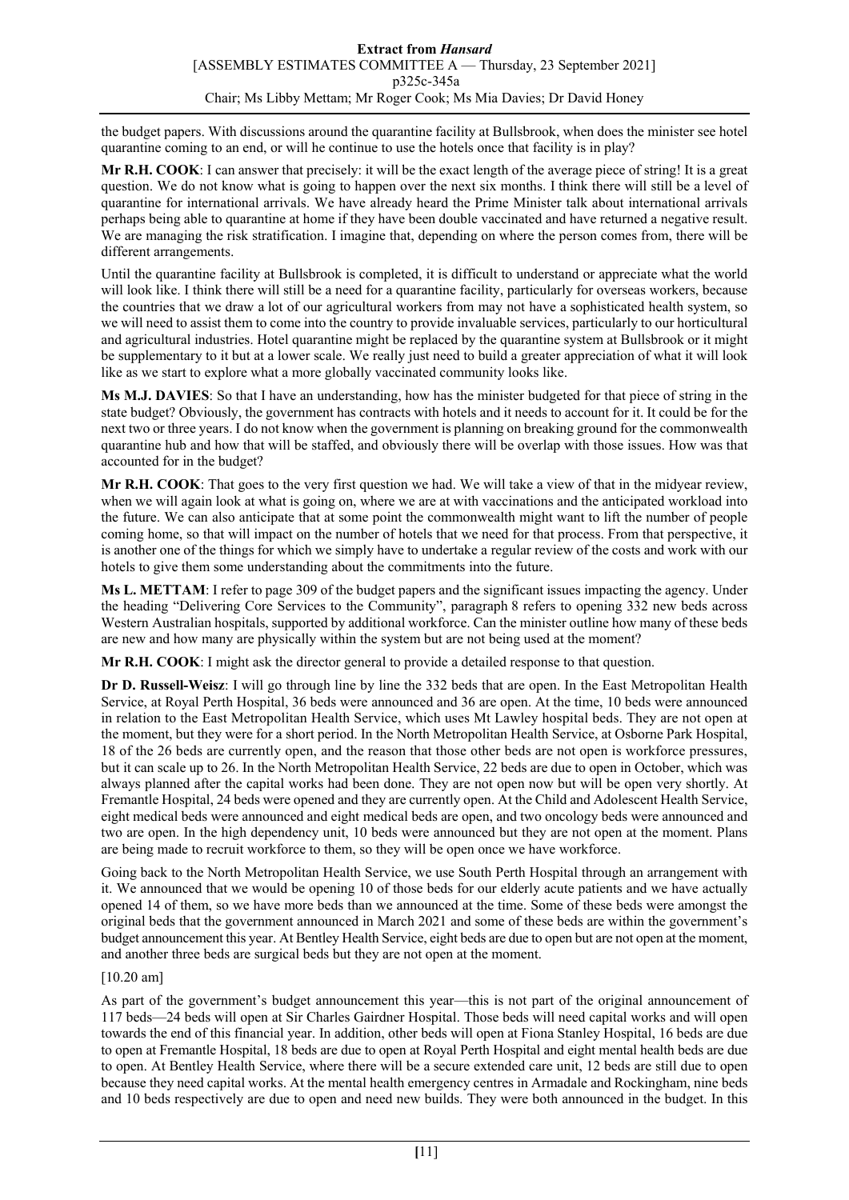the budget papers. With discussions around the quarantine facility at Bullsbrook, when does the minister see hotel quarantine coming to an end, or will he continue to use the hotels once that facility is in play?

**Mr R.H. COOK**: I can answer that precisely: it will be the exact length of the average piece of string! It is a great question. We do not know what is going to happen over the next six months. I think there will still be a level of quarantine for international arrivals. We have already heard the Prime Minister talk about international arrivals perhaps being able to quarantine at home if they have been double vaccinated and have returned a negative result. We are managing the risk stratification. I imagine that, depending on where the person comes from, there will be different arrangements.

Until the quarantine facility at Bullsbrook is completed, it is difficult to understand or appreciate what the world will look like. I think there will still be a need for a quarantine facility, particularly for overseas workers, because the countries that we draw a lot of our agricultural workers from may not have a sophisticated health system, so we will need to assist them to come into the country to provide invaluable services, particularly to our horticultural and agricultural industries. Hotel quarantine might be replaced by the quarantine system at Bullsbrook or it might be supplementary to it but at a lower scale. We really just need to build a greater appreciation of what it will look like as we start to explore what a more globally vaccinated community looks like.

**Ms M.J. DAVIES**: So that I have an understanding, how has the minister budgeted for that piece of string in the state budget? Obviously, the government has contracts with hotels and it needs to account for it. It could be for the next two or three years. I do not know when the government is planning on breaking ground for the commonwealth quarantine hub and how that will be staffed, and obviously there will be overlap with those issues. How was that accounted for in the budget?

**Mr R.H. COOK**: That goes to the very first question we had. We will take a view of that in the midyear review, when we will again look at what is going on, where we are at with vaccinations and the anticipated workload into the future. We can also anticipate that at some point the commonwealth might want to lift the number of people coming home, so that will impact on the number of hotels that we need for that process. From that perspective, it is another one of the things for which we simply have to undertake a regular review of the costs and work with our hotels to give them some understanding about the commitments into the future.

**Ms L. METTAM**: I refer to page 309 of the budget papers and the significant issues impacting the agency. Under the heading "Delivering Core Services to the Community", paragraph 8 refers to opening 332 new beds across Western Australian hospitals, supported by additional workforce. Can the minister outline how many of these beds are new and how many are physically within the system but are not being used at the moment?

**Mr R.H. COOK**: I might ask the director general to provide a detailed response to that question.

**Dr D. Russell-Weisz**: I will go through line by line the 332 beds that are open. In the East Metropolitan Health Service, at Royal Perth Hospital, 36 beds were announced and 36 are open. At the time, 10 beds were announced in relation to the East Metropolitan Health Service, which uses Mt Lawley hospital beds. They are not open at the moment, but they were for a short period. In the North Metropolitan Health Service, at Osborne Park Hospital, 18 of the 26 beds are currently open, and the reason that those other beds are not open is workforce pressures, but it can scale up to 26. In the North Metropolitan Health Service, 22 beds are due to open in October, which was always planned after the capital works had been done. They are not open now but will be open very shortly. At Fremantle Hospital, 24 beds were opened and they are currently open. At the Child and Adolescent Health Service, eight medical beds were announced and eight medical beds are open, and two oncology beds were announced and two are open. In the high dependency unit, 10 beds were announced but they are not open at the moment. Plans are being made to recruit workforce to them, so they will be open once we have workforce.

Going back to the North Metropolitan Health Service, we use South Perth Hospital through an arrangement with it. We announced that we would be opening 10 of those beds for our elderly acute patients and we have actually opened 14 of them, so we have more beds than we announced at the time. Some of these beds were amongst the original beds that the government announced in March 2021 and some of these beds are within the government's budget announcement this year. At Bentley Health Service, eight beds are due to open but are not open at the moment, and another three beds are surgical beds but they are not open at the moment.

# [10.20 am]

As part of the government's budget announcement this year—this is not part of the original announcement of 117 beds—24 beds will open at Sir Charles Gairdner Hospital. Those beds will need capital works and will open towards the end of this financial year. In addition, other beds will open at Fiona Stanley Hospital, 16 beds are due to open at Fremantle Hospital, 18 beds are due to open at Royal Perth Hospital and eight mental health beds are due to open. At Bentley Health Service, where there will be a secure extended care unit, 12 beds are still due to open because they need capital works. At the mental health emergency centres in Armadale and Rockingham, nine beds and 10 beds respectively are due to open and need new builds. They were both announced in the budget. In this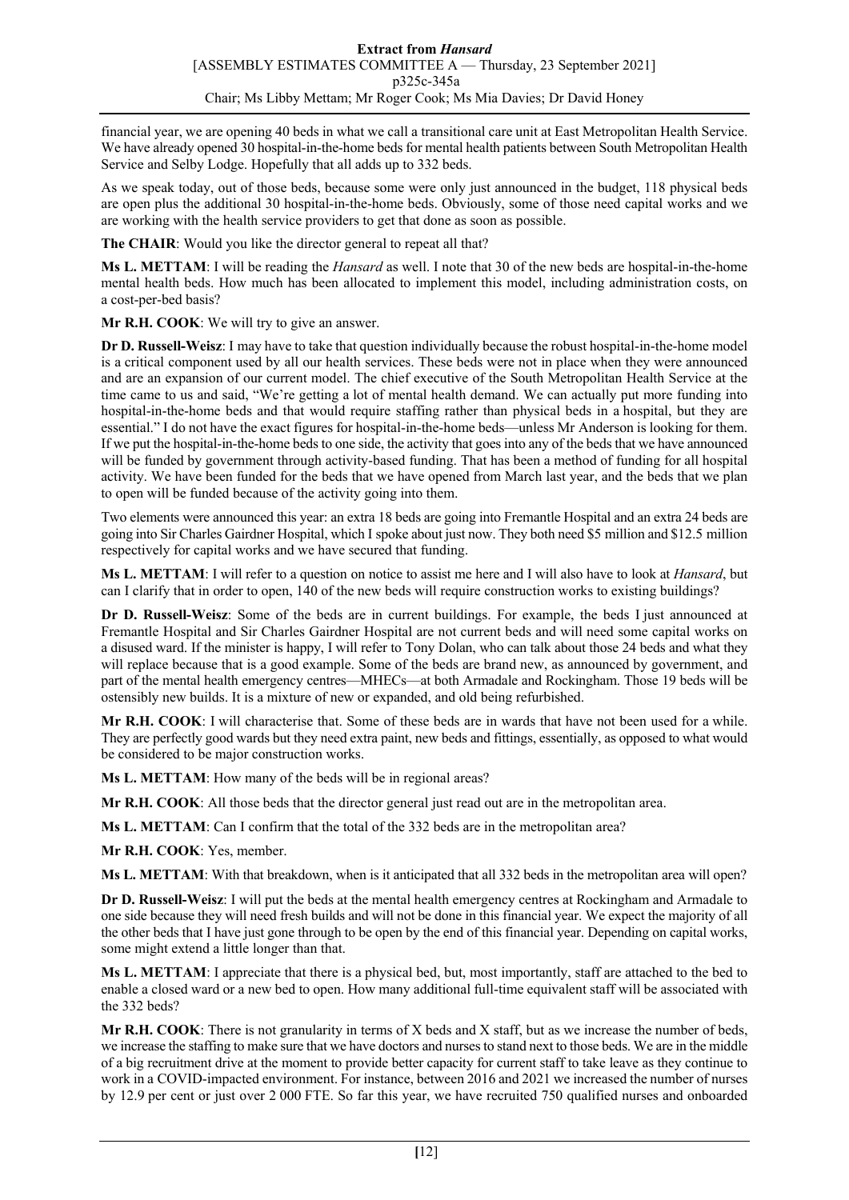financial year, we are opening 40 beds in what we call a transitional care unit at East Metropolitan Health Service. We have already opened 30 hospital-in-the-home beds for mental health patients between South Metropolitan Health Service and Selby Lodge. Hopefully that all adds up to 332 beds.

As we speak today, out of those beds, because some were only just announced in the budget, 118 physical beds are open plus the additional 30 hospital-in-the-home beds. Obviously, some of those need capital works and we are working with the health service providers to get that done as soon as possible.

**The CHAIR**: Would you like the director general to repeat all that?

**Ms L. METTAM**: I will be reading the *Hansard* as well. I note that 30 of the new beds are hospital-in-the-home mental health beds. How much has been allocated to implement this model, including administration costs, on a cost-per-bed basis?

**Mr R.H. COOK**: We will try to give an answer.

**Dr D. Russell-Weisz**: I may have to take that question individually because the robust hospital-in-the-home model is a critical component used by all our health services. These beds were not in place when they were announced and are an expansion of our current model. The chief executive of the South Metropolitan Health Service at the time came to us and said, "We're getting a lot of mental health demand. We can actually put more funding into hospital-in-the-home beds and that would require staffing rather than physical beds in a hospital, but they are essential." I do not have the exact figures for hospital-in-the-home beds—unless Mr Anderson is looking for them. If we put the hospital-in-the-home beds to one side, the activity that goes into any of the beds that we have announced will be funded by government through activity-based funding. That has been a method of funding for all hospital activity. We have been funded for the beds that we have opened from March last year, and the beds that we plan to open will be funded because of the activity going into them.

Two elements were announced this year: an extra 18 beds are going into Fremantle Hospital and an extra 24 beds are going into Sir Charles Gairdner Hospital, which I spoke about just now. They both need \$5 million and \$12.5 million respectively for capital works and we have secured that funding.

**Ms L. METTAM**: I will refer to a question on notice to assist me here and I will also have to look at *Hansard*, but can I clarify that in order to open, 140 of the new beds will require construction works to existing buildings?

**Dr D. Russell-Weisz**: Some of the beds are in current buildings. For example, the beds I just announced at Fremantle Hospital and Sir Charles Gairdner Hospital are not current beds and will need some capital works on a disused ward. If the minister is happy, I will refer to Tony Dolan, who can talk about those 24 beds and what they will replace because that is a good example. Some of the beds are brand new, as announced by government, and part of the mental health emergency centres—MHECs—at both Armadale and Rockingham. Those 19 beds will be ostensibly new builds. It is a mixture of new or expanded, and old being refurbished.

**Mr R.H. COOK**: I will characterise that. Some of these beds are in wards that have not been used for a while. They are perfectly good wards but they need extra paint, new beds and fittings, essentially, as opposed to what would be considered to be major construction works.

**Ms L. METTAM**: How many of the beds will be in regional areas?

**Mr R.H. COOK**: All those beds that the director general just read out are in the metropolitan area.

**Ms L. METTAM**: Can I confirm that the total of the 332 beds are in the metropolitan area?

**Mr R.H. COOK**: Yes, member.

**Ms L. METTAM**: With that breakdown, when is it anticipated that all 332 beds in the metropolitan area will open?

**Dr D. Russell-Weisz**: I will put the beds at the mental health emergency centres at Rockingham and Armadale to one side because they will need fresh builds and will not be done in this financial year. We expect the majority of all the other beds that I have just gone through to be open by the end of this financial year. Depending on capital works, some might extend a little longer than that.

**Ms L. METTAM**: I appreciate that there is a physical bed, but, most importantly, staff are attached to the bed to enable a closed ward or a new bed to open. How many additional full-time equivalent staff will be associated with the 332 beds?

**Mr R.H. COOK**: There is not granularity in terms of X beds and X staff, but as we increase the number of beds, we increase the staffing to make sure that we have doctors and nurses to stand next to those beds. We are in the middle of a big recruitment drive at the moment to provide better capacity for current staff to take leave as they continue to work in a COVID-impacted environment. For instance, between 2016 and 2021 we increased the number of nurses by 12.9 per cent or just over 2 000 FTE. So far this year, we have recruited 750 qualified nurses and onboarded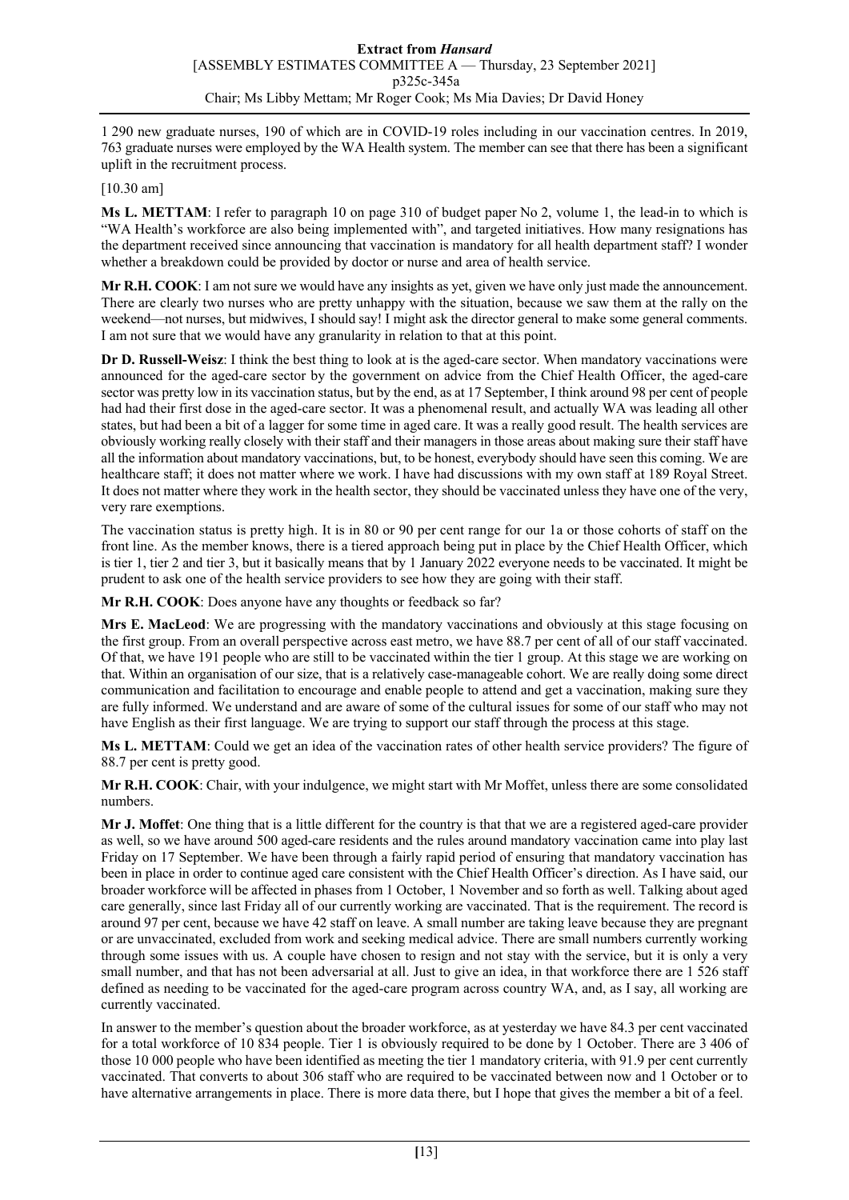1 290 new graduate nurses, 190 of which are in COVID-19 roles including in our vaccination centres. In 2019, 763 graduate nurses were employed by the WA Health system. The member can see that there has been a significant uplift in the recruitment process.

[10.30 am]

**Ms L. METTAM**: I refer to paragraph 10 on page 310 of budget paper No 2, volume 1, the lead-in to which is "WA Health's workforce are also being implemented with", and targeted initiatives. How many resignations has the department received since announcing that vaccination is mandatory for all health department staff? I wonder whether a breakdown could be provided by doctor or nurse and area of health service.

**Mr R.H. COOK**: I am not sure we would have any insights as yet, given we have only just made the announcement. There are clearly two nurses who are pretty unhappy with the situation, because we saw them at the rally on the weekend—not nurses, but midwives, I should say! I might ask the director general to make some general comments. I am not sure that we would have any granularity in relation to that at this point.

**Dr D. Russell-Weisz**: I think the best thing to look at is the aged-care sector. When mandatory vaccinations were announced for the aged-care sector by the government on advice from the Chief Health Officer, the aged-care sector was pretty low in its vaccination status, but by the end, as at 17 September, I think around 98 per cent of people had had their first dose in the aged-care sector. It was a phenomenal result, and actually WA was leading all other states, but had been a bit of a lagger for some time in aged care. It was a really good result. The health services are obviously working really closely with their staff and their managers in those areas about making sure their staff have all the information about mandatory vaccinations, but, to be honest, everybody should have seen this coming. We are healthcare staff; it does not matter where we work. I have had discussions with my own staff at 189 Royal Street. It does not matter where they work in the health sector, they should be vaccinated unless they have one of the very, very rare exemptions.

The vaccination status is pretty high. It is in 80 or 90 per cent range for our 1a or those cohorts of staff on the front line. As the member knows, there is a tiered approach being put in place by the Chief Health Officer, which is tier 1, tier 2 and tier 3, but it basically means that by 1 January 2022 everyone needs to be vaccinated. It might be prudent to ask one of the health service providers to see how they are going with their staff.

**Mr R.H. COOK**: Does anyone have any thoughts or feedback so far?

**Mrs E. MacLeod**: We are progressing with the mandatory vaccinations and obviously at this stage focusing on the first group. From an overall perspective across east metro, we have 88.7 per cent of all of our staff vaccinated. Of that, we have 191 people who are still to be vaccinated within the tier 1 group. At this stage we are working on that. Within an organisation of our size, that is a relatively case-manageable cohort. We are really doing some direct communication and facilitation to encourage and enable people to attend and get a vaccination, making sure they are fully informed. We understand and are aware of some of the cultural issues for some of our staff who may not have English as their first language. We are trying to support our staff through the process at this stage.

**Ms L. METTAM**: Could we get an idea of the vaccination rates of other health service providers? The figure of 88.7 per cent is pretty good.

**Mr R.H. COOK**: Chair, with your indulgence, we might start with Mr Moffet, unless there are some consolidated numbers.

**Mr J. Moffet**: One thing that is a little different for the country is that that we are a registered aged-care provider as well, so we have around 500 aged-care residents and the rules around mandatory vaccination came into play last Friday on 17 September. We have been through a fairly rapid period of ensuring that mandatory vaccination has been in place in order to continue aged care consistent with the Chief Health Officer's direction. As I have said, our broader workforce will be affected in phases from 1 October, 1 November and so forth as well. Talking about aged care generally, since last Friday all of our currently working are vaccinated. That is the requirement. The record is around 97 per cent, because we have 42 staff on leave. A small number are taking leave because they are pregnant or are unvaccinated, excluded from work and seeking medical advice. There are small numbers currently working through some issues with us. A couple have chosen to resign and not stay with the service, but it is only a very small number, and that has not been adversarial at all. Just to give an idea, in that workforce there are 1 526 staff defined as needing to be vaccinated for the aged-care program across country WA, and, as I say, all working are currently vaccinated.

In answer to the member's question about the broader workforce, as at yesterday we have 84.3 per cent vaccinated for a total workforce of 10 834 people. Tier 1 is obviously required to be done by 1 October. There are 3 406 of those 10 000 people who have been identified as meeting the tier 1 mandatory criteria, with 91.9 per cent currently vaccinated. That converts to about 306 staff who are required to be vaccinated between now and 1 October or to have alternative arrangements in place. There is more data there, but I hope that gives the member a bit of a feel.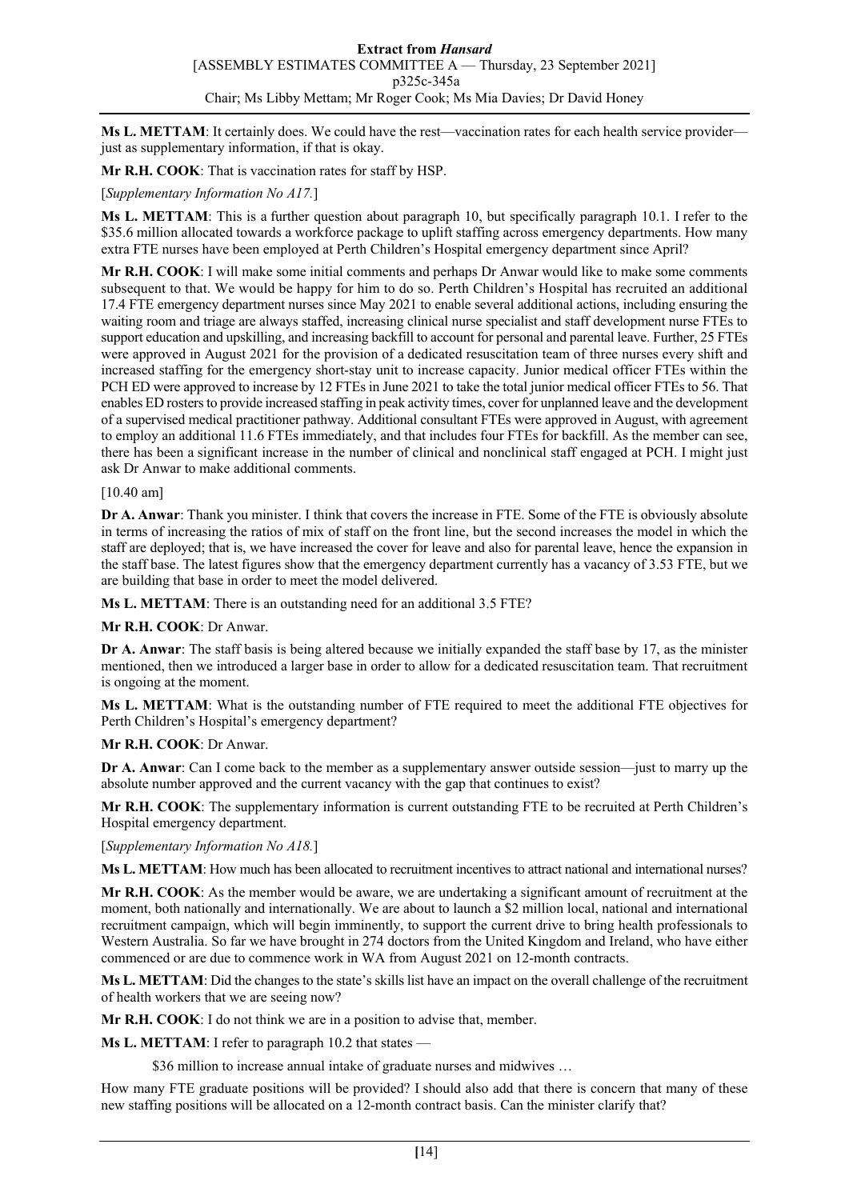Ms L. METTAM: It certainly does. We could have the rest—vaccination rates for each health service provider just as supplementary information, if that is okay.

**Mr R.H. COOK**: That is vaccination rates for staff by HSP.

### [*Supplementary Information No A17.*]

**Ms L. METTAM**: This is a further question about paragraph 10, but specifically paragraph 10.1. I refer to the \$35.6 million allocated towards a workforce package to uplift staffing across emergency departments. How many extra FTE nurses have been employed at Perth Children's Hospital emergency department since April?

**Mr R.H. COOK**: I will make some initial comments and perhaps Dr Anwar would like to make some comments subsequent to that. We would be happy for him to do so. Perth Children's Hospital has recruited an additional 17.4 FTE emergency department nurses since May 2021 to enable several additional actions, including ensuring the waiting room and triage are always staffed, increasing clinical nurse specialist and staff development nurse FTEs to support education and upskilling, and increasing backfill to account for personal and parental leave. Further, 25 FTEs were approved in August 2021 for the provision of a dedicated resuscitation team of three nurses every shift and increased staffing for the emergency short-stay unit to increase capacity. Junior medical officer FTEs within the PCH ED were approved to increase by 12 FTEs in June 2021 to take the total junior medical officer FTEs to 56. That enables ED rosters to provide increased staffing in peak activity times, cover for unplanned leave and the development of a supervised medical practitioner pathway. Additional consultant FTEs were approved in August, with agreement to employ an additional 11.6 FTEs immediately, and that includes four FTEs for backfill. As the member can see, there has been a significant increase in the number of clinical and nonclinical staff engaged at PCH. I might just ask Dr Anwar to make additional comments.

#### [10.40 am]

**Dr A. Anwar**: Thank you minister. I think that covers the increase in FTE. Some of the FTE is obviously absolute in terms of increasing the ratios of mix of staff on the front line, but the second increases the model in which the staff are deployed; that is, we have increased the cover for leave and also for parental leave, hence the expansion in the staff base. The latest figures show that the emergency department currently has a vacancy of 3.53 FTE, but we are building that base in order to meet the model delivered.

**Ms L. METTAM**: There is an outstanding need for an additional 3.5 FTE?

#### **Mr R.H. COOK**: Dr Anwar.

**Dr A. Anwar**: The staff basis is being altered because we initially expanded the staff base by 17, as the minister mentioned, then we introduced a larger base in order to allow for a dedicated resuscitation team. That recruitment is ongoing at the moment.

**Ms L. METTAM**: What is the outstanding number of FTE required to meet the additional FTE objectives for Perth Children's Hospital's emergency department?

#### **Mr R.H. COOK**: Dr Anwar.

**Dr A. Anwar**: Can I come back to the member as a supplementary answer outside session—just to marry up the absolute number approved and the current vacancy with the gap that continues to exist?

**Mr R.H. COOK**: The supplementary information is current outstanding FTE to be recruited at Perth Children's Hospital emergency department.

[*Supplementary Information No A18.*]

**Ms L. METTAM**: How much has been allocated to recruitment incentives to attract national and international nurses?

**Mr R.H. COOK**: As the member would be aware, we are undertaking a significant amount of recruitment at the moment, both nationally and internationally. We are about to launch a \$2 million local, national and international recruitment campaign, which will begin imminently, to support the current drive to bring health professionals to Western Australia. So far we have brought in 274 doctors from the United Kingdom and Ireland, who have either commenced or are due to commence work in WA from August 2021 on 12-month contracts.

**Ms L. METTAM**: Did the changes to the state's skills list have an impact on the overall challenge of the recruitment of health workers that we are seeing now?

**Mr R.H. COOK**: I do not think we are in a position to advise that, member.

**Ms L. METTAM**: I refer to paragraph 10.2 that states —

\$36 million to increase annual intake of graduate nurses and midwives ...

How many FTE graduate positions will be provided? I should also add that there is concern that many of these new staffing positions will be allocated on a 12-month contract basis. Can the minister clarify that?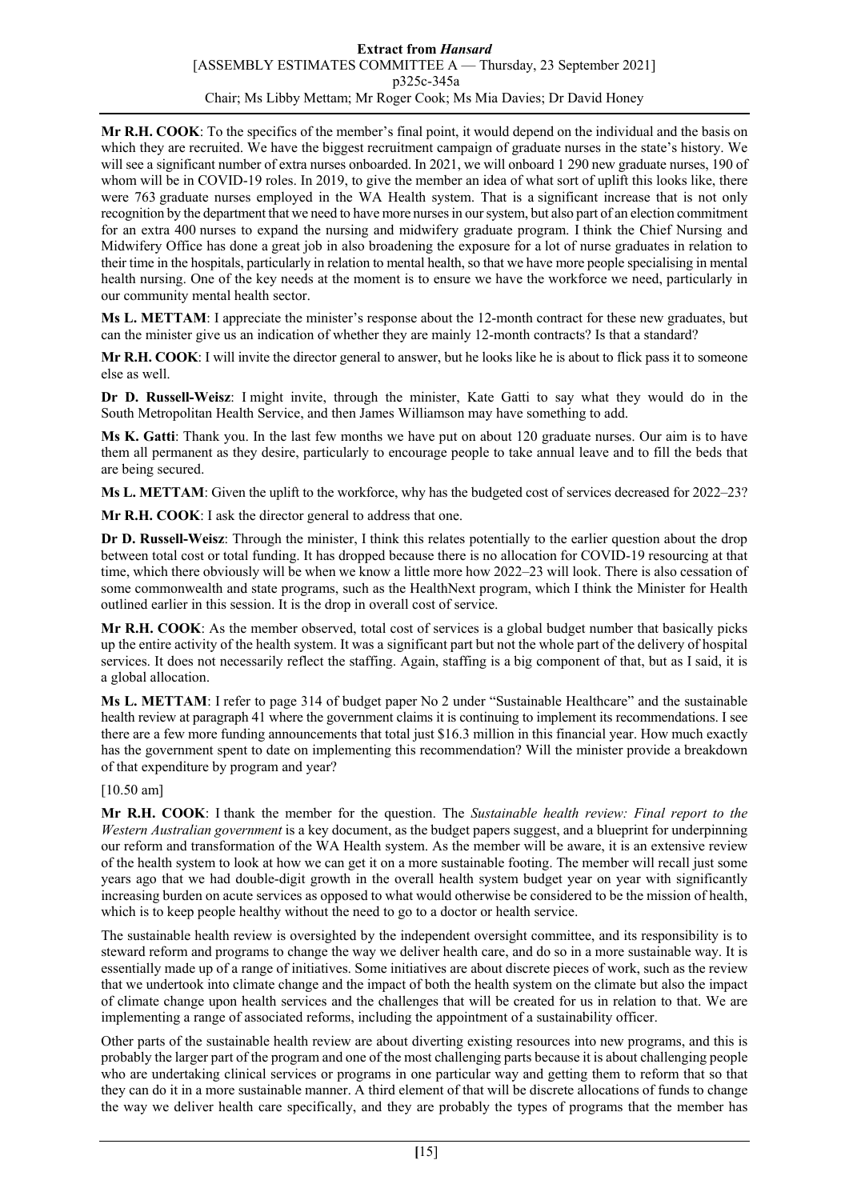**Mr R.H. COOK**: To the specifics of the member's final point, it would depend on the individual and the basis on which they are recruited. We have the biggest recruitment campaign of graduate nurses in the state's history. We will see a significant number of extra nurses onboarded. In 2021, we will onboard 1 290 new graduate nurses, 190 of whom will be in COVID-19 roles. In 2019, to give the member an idea of what sort of uplift this looks like, there were 763 graduate nurses employed in the WA Health system. That is a significant increase that is not only recognition by the department that we need to have more nurses in our system, but also part of an election commitment for an extra 400 nurses to expand the nursing and midwifery graduate program. I think the Chief Nursing and Midwifery Office has done a great job in also broadening the exposure for a lot of nurse graduates in relation to their time in the hospitals, particularly in relation to mental health, so that we have more people specialising in mental health nursing. One of the key needs at the moment is to ensure we have the workforce we need, particularly in our community mental health sector.

**Ms L. METTAM**: I appreciate the minister's response about the 12-month contract for these new graduates, but can the minister give us an indication of whether they are mainly 12-month contracts? Is that a standard?

**Mr R.H. COOK**: I will invite the director general to answer, but he looks like he is about to flick pass it to someone else as well.

**Dr D. Russell-Weisz**: I might invite, through the minister, Kate Gatti to say what they would do in the South Metropolitan Health Service, and then James Williamson may have something to add.

**Ms K. Gatti**: Thank you. In the last few months we have put on about 120 graduate nurses. Our aim is to have them all permanent as they desire, particularly to encourage people to take annual leave and to fill the beds that are being secured.

**Ms L. METTAM:** Given the uplift to the workforce, why has the budgeted cost of services decreased for 2022–23?

**Mr R.H. COOK**: I ask the director general to address that one.

**Dr D. Russell-Weisz**: Through the minister, I think this relates potentially to the earlier question about the drop between total cost or total funding. It has dropped because there is no allocation for COVID-19 resourcing at that time, which there obviously will be when we know a little more how 2022–23 will look. There is also cessation of some commonwealth and state programs, such as the HealthNext program, which I think the Minister for Health outlined earlier in this session. It is the drop in overall cost of service.

**Mr R.H. COOK**: As the member observed, total cost of services is a global budget number that basically picks up the entire activity of the health system. It was a significant part but not the whole part of the delivery of hospital services. It does not necessarily reflect the staffing. Again, staffing is a big component of that, but as I said, it is a global allocation.

**Ms L. METTAM**: I refer to page 314 of budget paper No 2 under "Sustainable Healthcare" and the sustainable health review at paragraph 41 where the government claims it is continuing to implement its recommendations. I see there are a few more funding announcements that total just \$16.3 million in this financial year. How much exactly has the government spent to date on implementing this recommendation? Will the minister provide a breakdown of that expenditure by program and year?

#### [10.50 am]

**Mr R.H. COOK**: I thank the member for the question. The *Sustainable health review: Final report to the Western Australian government* is a key document, as the budget papers suggest, and a blueprint for underpinning our reform and transformation of the WA Health system. As the member will be aware, it is an extensive review of the health system to look at how we can get it on a more sustainable footing. The member will recall just some years ago that we had double-digit growth in the overall health system budget year on year with significantly increasing burden on acute services as opposed to what would otherwise be considered to be the mission of health, which is to keep people healthy without the need to go to a doctor or health service.

The sustainable health review is oversighted by the independent oversight committee, and its responsibility is to steward reform and programs to change the way we deliver health care, and do so in a more sustainable way. It is essentially made up of a range of initiatives. Some initiatives are about discrete pieces of work, such as the review that we undertook into climate change and the impact of both the health system on the climate but also the impact of climate change upon health services and the challenges that will be created for us in relation to that. We are implementing a range of associated reforms, including the appointment of a sustainability officer.

Other parts of the sustainable health review are about diverting existing resources into new programs, and this is probably the larger part of the program and one of the most challenging parts because it is about challenging people who are undertaking clinical services or programs in one particular way and getting them to reform that so that they can do it in a more sustainable manner. A third element of that will be discrete allocations of funds to change the way we deliver health care specifically, and they are probably the types of programs that the member has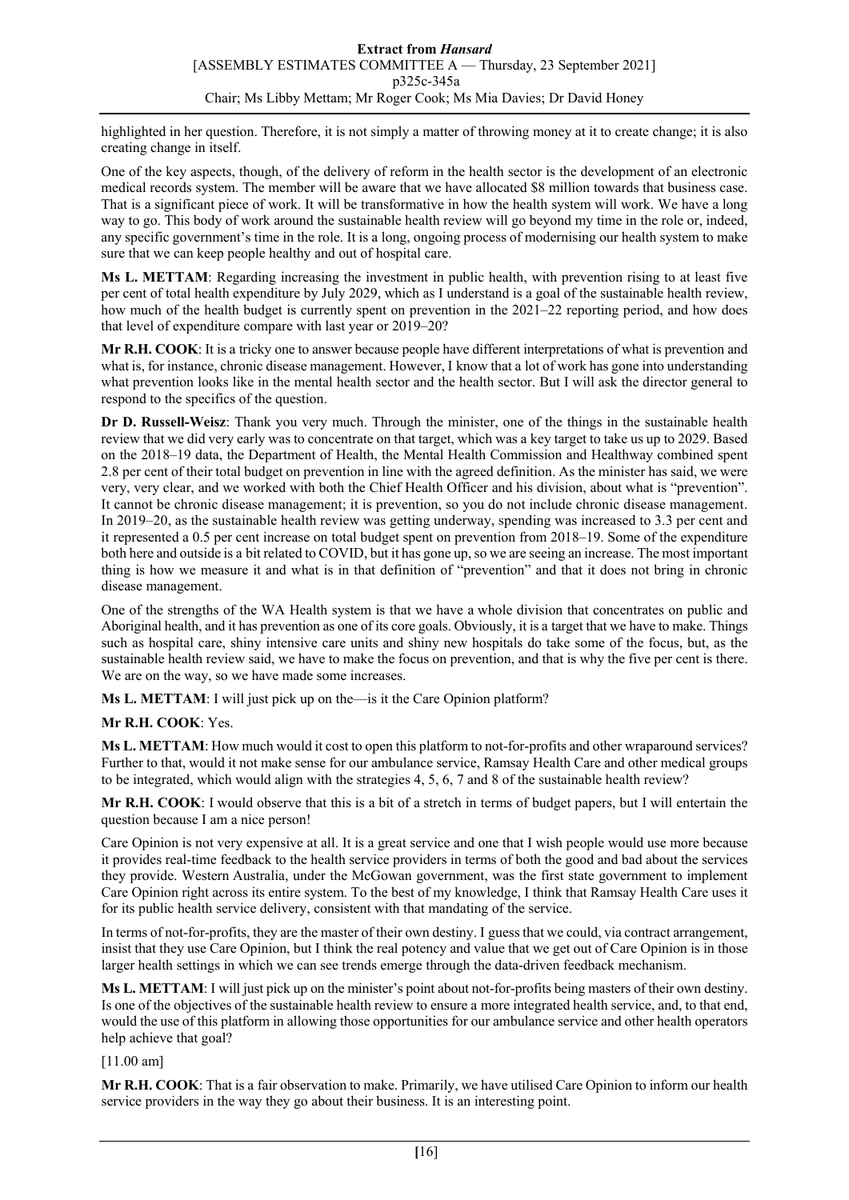highlighted in her question. Therefore, it is not simply a matter of throwing money at it to create change; it is also creating change in itself.

One of the key aspects, though, of the delivery of reform in the health sector is the development of an electronic medical records system. The member will be aware that we have allocated \$8 million towards that business case. That is a significant piece of work. It will be transformative in how the health system will work. We have a long way to go. This body of work around the sustainable health review will go beyond my time in the role or, indeed, any specific government's time in the role. It is a long, ongoing process of modernising our health system to make sure that we can keep people healthy and out of hospital care.

**Ms L. METTAM**: Regarding increasing the investment in public health, with prevention rising to at least five per cent of total health expenditure by July 2029, which as I understand is a goal of the sustainable health review, how much of the health budget is currently spent on prevention in the 2021–22 reporting period, and how does that level of expenditure compare with last year or 2019–20?

**Mr R.H. COOK**: It is a tricky one to answer because people have different interpretations of what is prevention and what is, for instance, chronic disease management. However, I know that a lot of work has gone into understanding what prevention looks like in the mental health sector and the health sector. But I will ask the director general to respond to the specifics of the question.

**Dr D. Russell-Weisz**: Thank you very much. Through the minister, one of the things in the sustainable health review that we did very early was to concentrate on that target, which was a key target to take us up to 2029. Based on the 2018–19 data, the Department of Health, the Mental Health Commission and Healthway combined spent 2.8 per cent of their total budget on prevention in line with the agreed definition. As the minister has said, we were very, very clear, and we worked with both the Chief Health Officer and his division, about what is "prevention". It cannot be chronic disease management; it is prevention, so you do not include chronic disease management. In 2019–20, as the sustainable health review was getting underway, spending was increased to 3.3 per cent and it represented a 0.5 per cent increase on total budget spent on prevention from 2018–19. Some of the expenditure both here and outside is a bit related to COVID, but it has gone up, so we are seeing an increase. The most important thing is how we measure it and what is in that definition of "prevention" and that it does not bring in chronic disease management.

One of the strengths of the WA Health system is that we have a whole division that concentrates on public and Aboriginal health, and it has prevention as one of its core goals. Obviously, it is a target that we have to make. Things such as hospital care, shiny intensive care units and shiny new hospitals do take some of the focus, but, as the sustainable health review said, we have to make the focus on prevention, and that is why the five per cent is there. We are on the way, so we have made some increases.

**Ms L. METTAM**: I will just pick up on the—is it the Care Opinion platform?

#### **Mr R.H. COOK**: Yes.

**Ms L. METTAM**: How much would it cost to open this platform to not-for-profits and other wraparound services? Further to that, would it not make sense for our ambulance service, Ramsay Health Care and other medical groups to be integrated, which would align with the strategies 4, 5, 6, 7 and 8 of the sustainable health review?

**Mr R.H. COOK**: I would observe that this is a bit of a stretch in terms of budget papers, but I will entertain the question because I am a nice person!

Care Opinion is not very expensive at all. It is a great service and one that I wish people would use more because it provides real-time feedback to the health service providers in terms of both the good and bad about the services they provide. Western Australia, under the McGowan government, was the first state government to implement Care Opinion right across its entire system. To the best of my knowledge, I think that Ramsay Health Care uses it for its public health service delivery, consistent with that mandating of the service.

In terms of not-for-profits, they are the master of their own destiny. I guess that we could, via contract arrangement, insist that they use Care Opinion, but I think the real potency and value that we get out of Care Opinion is in those larger health settings in which we can see trends emerge through the data-driven feedback mechanism.

**Ms L. METTAM**: I will just pick up on the minister's point about not-for-profits being masters of their own destiny. Is one of the objectives of the sustainable health review to ensure a more integrated health service, and, to that end, would the use of this platform in allowing those opportunities for our ambulance service and other health operators help achieve that goal?

[11.00 am]

**Mr R.H. COOK**: That is a fair observation to make. Primarily, we have utilised Care Opinion to inform our health service providers in the way they go about their business. It is an interesting point.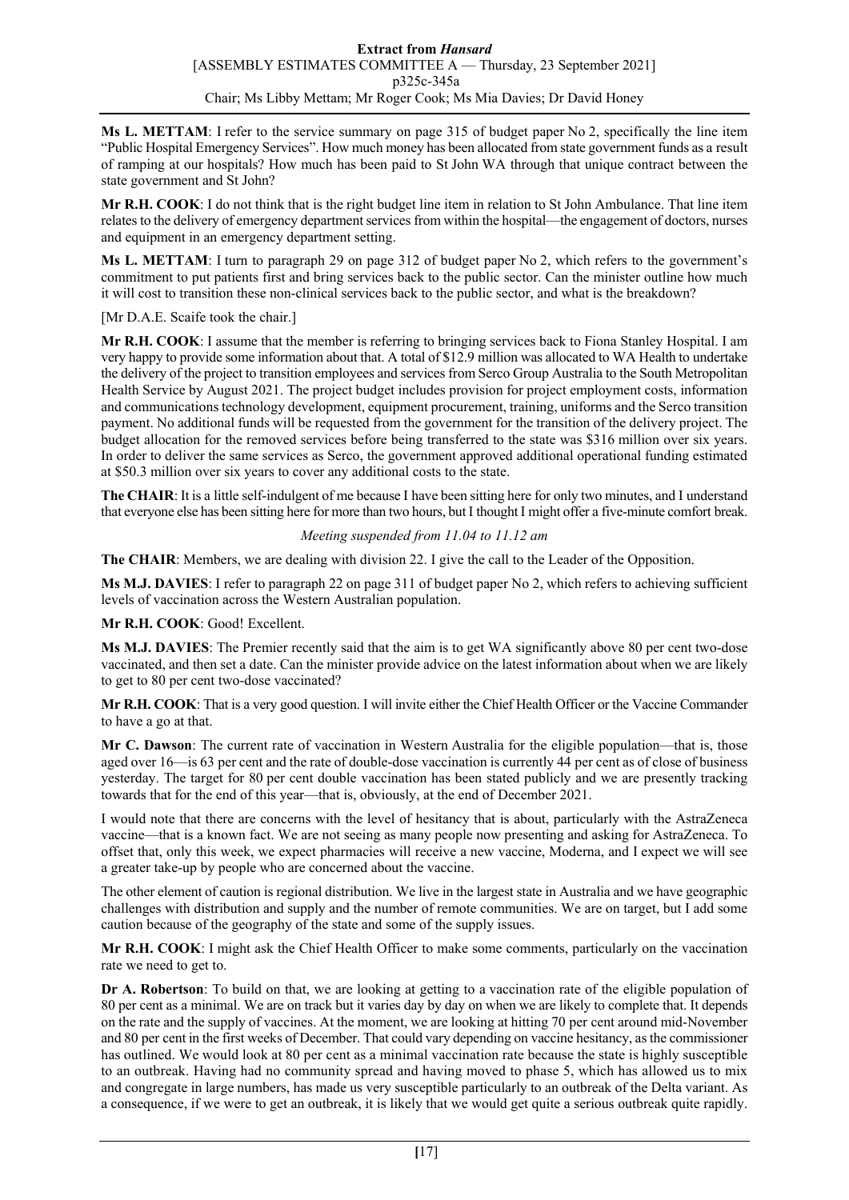**Ms L. METTAM**: I refer to the service summary on page 315 of budget paper No 2, specifically the line item "Public Hospital Emergency Services". How much money has been allocated from state government funds as a result of ramping at our hospitals? How much has been paid to St John WA through that unique contract between the state government and St John?

**Mr R.H. COOK**: I do not think that is the right budget line item in relation to St John Ambulance. That line item relates to the delivery of emergency department services from within the hospital—the engagement of doctors, nurses and equipment in an emergency department setting.

**Ms L. METTAM**: I turn to paragraph 29 on page 312 of budget paper No 2, which refers to the government's commitment to put patients first and bring services back to the public sector. Can the minister outline how much it will cost to transition these non-clinical services back to the public sector, and what is the breakdown?

[Mr D.A.E. Scaife took the chair.]

**Mr R.H. COOK**: I assume that the member is referring to bringing services back to Fiona Stanley Hospital. I am very happy to provide some information about that. A total of \$12.9 million was allocated to WA Health to undertake the delivery of the project to transition employees and services from Serco Group Australia to the South Metropolitan Health Service by August 2021. The project budget includes provision for project employment costs, information and communications technology development, equipment procurement, training, uniforms and the Serco transition payment. No additional funds will be requested from the government for the transition of the delivery project. The budget allocation for the removed services before being transferred to the state was \$316 million over six years. In order to deliver the same services as Serco, the government approved additional operational funding estimated at \$50.3 million over six years to cover any additional costs to the state.

**The CHAIR:** It is a little self-indulgent of me because I have been sitting here for only two minutes, and I understand that everyone else has been sitting here for more than two hours, but I thought I might offer a five-minute comfort break.

# *Meeting suspended from 11.04 to 11.12 am*

**The CHAIR**: Members, we are dealing with division 22. I give the call to the Leader of the Opposition.

**Ms M.J. DAVIES**: I refer to paragraph 22 on page 311 of budget paper No 2, which refers to achieving sufficient levels of vaccination across the Western Australian population.

**Mr R.H. COOK**: Good! Excellent.

**Ms M.J. DAVIES**: The Premier recently said that the aim is to get WA significantly above 80 per cent two-dose vaccinated, and then set a date. Can the minister provide advice on the latest information about when we are likely to get to 80 per cent two-dose vaccinated?

**Mr R.H. COOK**: That is a very good question. I will invite either the Chief Health Officer or the Vaccine Commander to have a go at that.

**Mr C. Dawson**: The current rate of vaccination in Western Australia for the eligible population—that is, those aged over 16—is 63 per cent and the rate of double-dose vaccination is currently 44 per cent as of close of business yesterday. The target for 80 per cent double vaccination has been stated publicly and we are presently tracking towards that for the end of this year—that is, obviously, at the end of December 2021.

I would note that there are concerns with the level of hesitancy that is about, particularly with the AstraZeneca vaccine—that is a known fact. We are not seeing as many people now presenting and asking for AstraZeneca. To offset that, only this week, we expect pharmacies will receive a new vaccine, Moderna, and I expect we will see a greater take-up by people who are concerned about the vaccine.

The other element of caution is regional distribution. We live in the largest state in Australia and we have geographic challenges with distribution and supply and the number of remote communities. We are on target, but I add some caution because of the geography of the state and some of the supply issues.

**Mr R.H. COOK**: I might ask the Chief Health Officer to make some comments, particularly on the vaccination rate we need to get to.

**Dr A. Robertson**: To build on that, we are looking at getting to a vaccination rate of the eligible population of 80 per cent as a minimal. We are on track but it varies day by day on when we are likely to complete that. It depends on the rate and the supply of vaccines. At the moment, we are looking at hitting 70 per cent around mid-November and 80 per cent in the first weeks of December. That could vary depending on vaccine hesitancy, as the commissioner has outlined. We would look at 80 per cent as a minimal vaccination rate because the state is highly susceptible to an outbreak. Having had no community spread and having moved to phase 5, which has allowed us to mix and congregate in large numbers, has made us very susceptible particularly to an outbreak of the Delta variant. As a consequence, if we were to get an outbreak, it is likely that we would get quite a serious outbreak quite rapidly.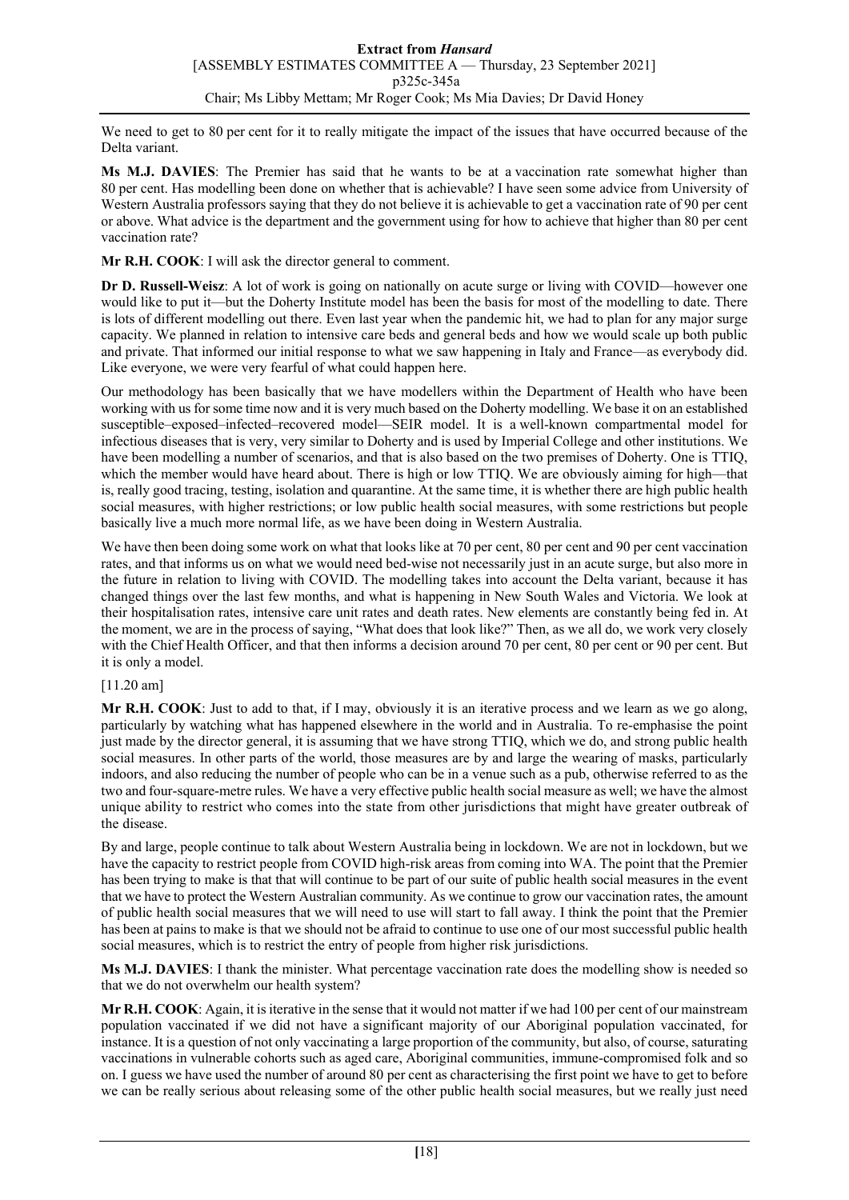We need to get to 80 per cent for it to really mitigate the impact of the issues that have occurred because of the Delta variant.

**Ms M.J. DAVIES**: The Premier has said that he wants to be at a vaccination rate somewhat higher than 80 per cent. Has modelling been done on whether that is achievable? I have seen some advice from University of Western Australia professors saying that they do not believe it is achievable to get a vaccination rate of 90 per cent or above. What advice is the department and the government using for how to achieve that higher than 80 per cent vaccination rate?

**Mr R.H. COOK**: I will ask the director general to comment.

**Dr D. Russell-Weisz**: A lot of work is going on nationally on acute surge or living with COVID—however one would like to put it—but the Doherty Institute model has been the basis for most of the modelling to date. There is lots of different modelling out there. Even last year when the pandemic hit, we had to plan for any major surge capacity. We planned in relation to intensive care beds and general beds and how we would scale up both public and private. That informed our initial response to what we saw happening in Italy and France—as everybody did. Like everyone, we were very fearful of what could happen here.

Our methodology has been basically that we have modellers within the Department of Health who have been working with us for some time now and it is very much based on the Doherty modelling. We base it on an established susceptible–exposed–infected–recovered model—SEIR model. It is a well-known compartmental model for infectious diseases that is very, very similar to Doherty and is used by Imperial College and other institutions. We have been modelling a number of scenarios, and that is also based on the two premises of Doherty. One is TTIQ, which the member would have heard about. There is high or low TTIQ. We are obviously aiming for high—that is, really good tracing, testing, isolation and quarantine. At the same time, it is whether there are high public health social measures, with higher restrictions; or low public health social measures, with some restrictions but people basically live a much more normal life, as we have been doing in Western Australia.

We have then been doing some work on what that looks like at 70 per cent, 80 per cent and 90 per cent vaccination rates, and that informs us on what we would need bed-wise not necessarily just in an acute surge, but also more in the future in relation to living with COVID. The modelling takes into account the Delta variant, because it has changed things over the last few months, and what is happening in New South Wales and Victoria. We look at their hospitalisation rates, intensive care unit rates and death rates. New elements are constantly being fed in. At the moment, we are in the process of saying, "What does that look like?" Then, as we all do, we work very closely with the Chief Health Officer, and that then informs a decision around 70 per cent, 80 per cent or 90 per cent. But it is only a model.

# [11.20 am]

**Mr R.H. COOK**: Just to add to that, if I may, obviously it is an iterative process and we learn as we go along, particularly by watching what has happened elsewhere in the world and in Australia. To re-emphasise the point just made by the director general, it is assuming that we have strong TTIQ, which we do, and strong public health social measures. In other parts of the world, those measures are by and large the wearing of masks, particularly indoors, and also reducing the number of people who can be in a venue such as a pub, otherwise referred to as the two and four-square-metre rules. We have a very effective public health social measure as well; we have the almost unique ability to restrict who comes into the state from other jurisdictions that might have greater outbreak of the disease.

By and large, people continue to talk about Western Australia being in lockdown. We are not in lockdown, but we have the capacity to restrict people from COVID high-risk areas from coming into WA. The point that the Premier has been trying to make is that that will continue to be part of our suite of public health social measures in the event that we have to protect the Western Australian community. As we continue to grow our vaccination rates, the amount of public health social measures that we will need to use will start to fall away. I think the point that the Premier has been at pains to make is that we should not be afraid to continue to use one of our most successful public health social measures, which is to restrict the entry of people from higher risk jurisdictions.

**Ms M.J. DAVIES**: I thank the minister. What percentage vaccination rate does the modelling show is needed so that we do not overwhelm our health system?

**Mr R.H. COOK**: Again, it is iterative in the sense that it would not matter if we had 100 per cent of our mainstream population vaccinated if we did not have a significant majority of our Aboriginal population vaccinated, for instance. It is a question of not only vaccinating a large proportion of the community, but also, of course, saturating vaccinations in vulnerable cohorts such as aged care, Aboriginal communities, immune-compromised folk and so on. I guess we have used the number of around 80 per cent as characterising the first point we have to get to before we can be really serious about releasing some of the other public health social measures, but we really just need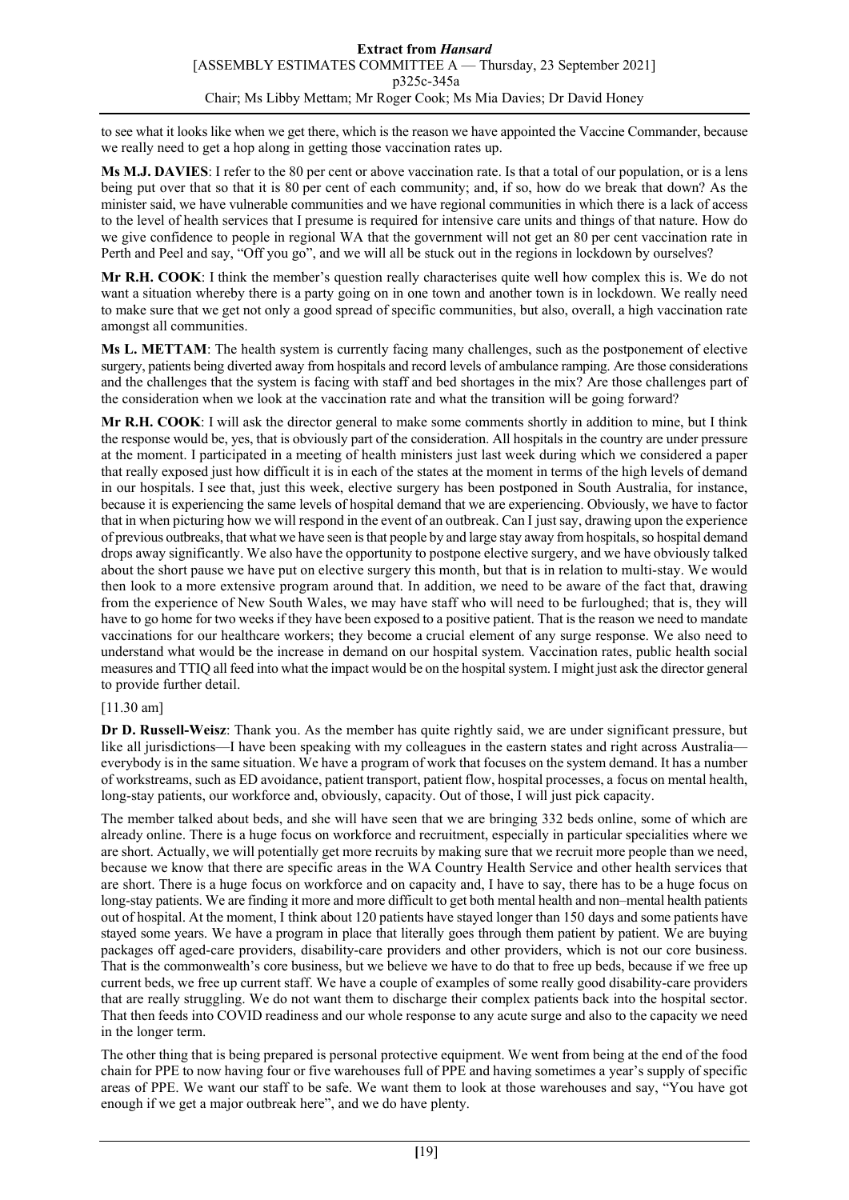to see what it looks like when we get there, which is the reason we have appointed the Vaccine Commander, because we really need to get a hop along in getting those vaccination rates up.

**Ms M.J. DAVIES**: I refer to the 80 per cent or above vaccination rate. Is that a total of our population, or is a lens being put over that so that it is 80 per cent of each community; and, if so, how do we break that down? As the minister said, we have vulnerable communities and we have regional communities in which there is a lack of access to the level of health services that I presume is required for intensive care units and things of that nature. How do we give confidence to people in regional WA that the government will not get an 80 per cent vaccination rate in Perth and Peel and say, "Off you go", and we will all be stuck out in the regions in lockdown by ourselves?

**Mr R.H. COOK**: I think the member's question really characterises quite well how complex this is. We do not want a situation whereby there is a party going on in one town and another town is in lockdown. We really need to make sure that we get not only a good spread of specific communities, but also, overall, a high vaccination rate amongst all communities.

**Ms L. METTAM**: The health system is currently facing many challenges, such as the postponement of elective surgery, patients being diverted away from hospitals and record levels of ambulance ramping. Are those considerations and the challenges that the system is facing with staff and bed shortages in the mix? Are those challenges part of the consideration when we look at the vaccination rate and what the transition will be going forward?

**Mr R.H. COOK**: I will ask the director general to make some comments shortly in addition to mine, but I think the response would be, yes, that is obviously part of the consideration. All hospitals in the country are under pressure at the moment. I participated in a meeting of health ministers just last week during which we considered a paper that really exposed just how difficult it is in each of the states at the moment in terms of the high levels of demand in our hospitals. I see that, just this week, elective surgery has been postponed in South Australia, for instance, because it is experiencing the same levels of hospital demand that we are experiencing. Obviously, we have to factor that in when picturing how we will respond in the event of an outbreak. Can I just say, drawing upon the experience of previous outbreaks, that what we have seen is that people by and large stay away from hospitals, so hospital demand drops away significantly. We also have the opportunity to postpone elective surgery, and we have obviously talked about the short pause we have put on elective surgery this month, but that is in relation to multi-stay. We would then look to a more extensive program around that. In addition, we need to be aware of the fact that, drawing from the experience of New South Wales, we may have staff who will need to be furloughed; that is, they will have to go home for two weeks if they have been exposed to a positive patient. That is the reason we need to mandate vaccinations for our healthcare workers; they become a crucial element of any surge response. We also need to understand what would be the increase in demand on our hospital system. Vaccination rates, public health social measures and TTIQ all feed into what the impact would be on the hospital system. I might just ask the director general to provide further detail.

# [11.30 am]

**Dr D. Russell-Weisz**: Thank you. As the member has quite rightly said, we are under significant pressure, but like all jurisdictions—I have been speaking with my colleagues in the eastern states and right across Australia everybody is in the same situation. We have a program of work that focuses on the system demand. It has a number of workstreams, such as ED avoidance, patient transport, patient flow, hospital processes, a focus on mental health, long-stay patients, our workforce and, obviously, capacity. Out of those, I will just pick capacity.

The member talked about beds, and she will have seen that we are bringing 332 beds online, some of which are already online. There is a huge focus on workforce and recruitment, especially in particular specialities where we are short. Actually, we will potentially get more recruits by making sure that we recruit more people than we need, because we know that there are specific areas in the WA Country Health Service and other health services that are short. There is a huge focus on workforce and on capacity and, I have to say, there has to be a huge focus on long-stay patients. We are finding it more and more difficult to get both mental health and non–mental health patients out of hospital. At the moment, I think about 120 patients have stayed longer than 150 days and some patients have stayed some years. We have a program in place that literally goes through them patient by patient. We are buying packages off aged-care providers, disability-care providers and other providers, which is not our core business. That is the commonwealth's core business, but we believe we have to do that to free up beds, because if we free up current beds, we free up current staff. We have a couple of examples of some really good disability-care providers that are really struggling. We do not want them to discharge their complex patients back into the hospital sector. That then feeds into COVID readiness and our whole response to any acute surge and also to the capacity we need in the longer term.

The other thing that is being prepared is personal protective equipment. We went from being at the end of the food chain for PPE to now having four or five warehouses full of PPE and having sometimes a year's supply of specific areas of PPE. We want our staff to be safe. We want them to look at those warehouses and say, "You have got enough if we get a major outbreak here", and we do have plenty.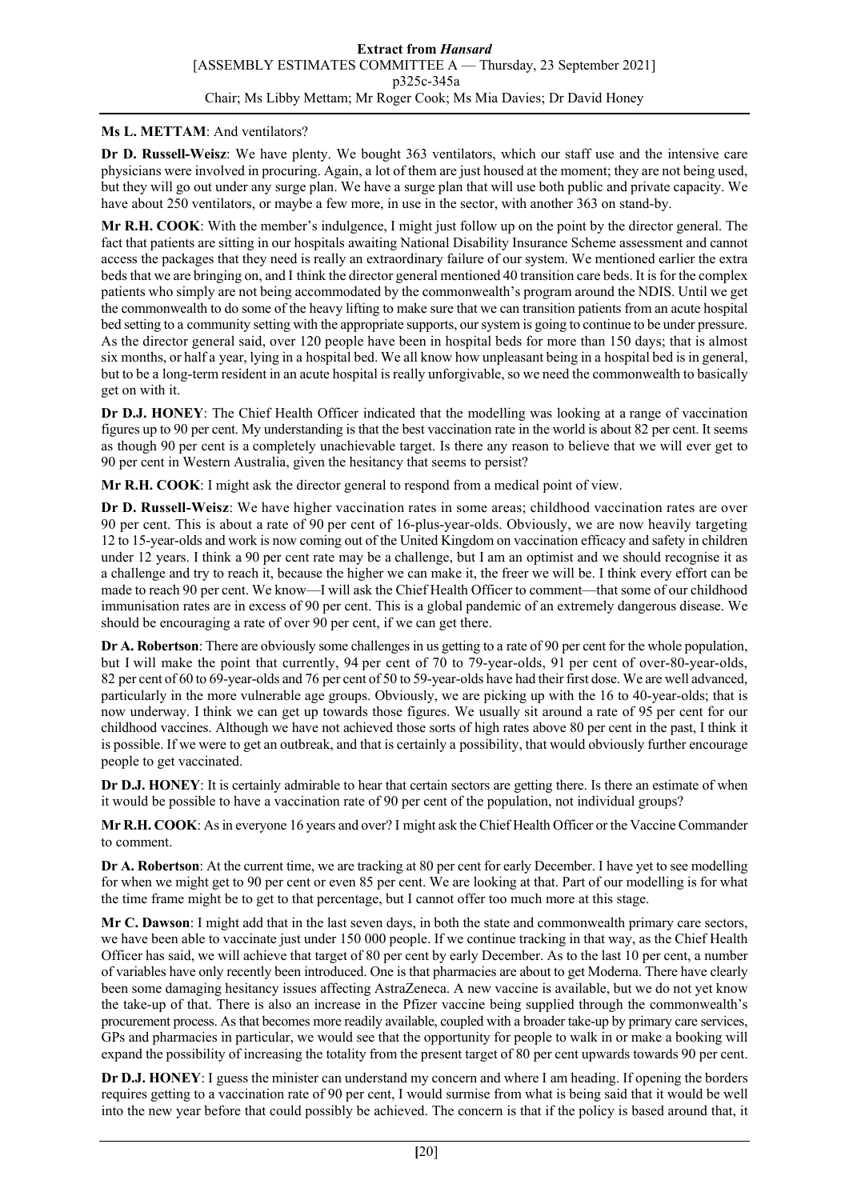#### **Ms L. METTAM**: And ventilators?

**Dr D. Russell-Weisz**: We have plenty. We bought 363 ventilators, which our staff use and the intensive care physicians were involved in procuring. Again, a lot of them are just housed at the moment; they are not being used, but they will go out under any surge plan. We have a surge plan that will use both public and private capacity. We have about 250 ventilators, or maybe a few more, in use in the sector, with another 363 on stand-by.

**Mr R.H. COOK**: With the member's indulgence, I might just follow up on the point by the director general. The fact that patients are sitting in our hospitals awaiting National Disability Insurance Scheme assessment and cannot access the packages that they need is really an extraordinary failure of our system. We mentioned earlier the extra beds that we are bringing on, and I think the director general mentioned 40 transition care beds. It is for the complex patients who simply are not being accommodated by the commonwealth's program around the NDIS. Until we get the commonwealth to do some of the heavy lifting to make sure that we can transition patients from an acute hospital bed setting to a community setting with the appropriate supports, our system is going to continue to be under pressure. As the director general said, over 120 people have been in hospital beds for more than 150 days; that is almost six months, or half a year, lying in a hospital bed. We all know how unpleasant being in a hospital bed is in general, but to be a long-term resident in an acute hospital is really unforgivable, so we need the commonwealth to basically get on with it.

**Dr D.J. HONEY**: The Chief Health Officer indicated that the modelling was looking at a range of vaccination figures up to 90 per cent. My understanding is that the best vaccination rate in the world is about 82 per cent. It seems as though 90 per cent is a completely unachievable target. Is there any reason to believe that we will ever get to 90 per cent in Western Australia, given the hesitancy that seems to persist?

**Mr R.H. COOK**: I might ask the director general to respond from a medical point of view.

**Dr D. Russell-Weisz**: We have higher vaccination rates in some areas; childhood vaccination rates are over 90 per cent. This is about a rate of 90 per cent of 16-plus-year-olds. Obviously, we are now heavily targeting 12 to 15-year-olds and work is now coming out of the United Kingdom on vaccination efficacy and safety in children under 12 years. I think a 90 per cent rate may be a challenge, but I am an optimist and we should recognise it as a challenge and try to reach it, because the higher we can make it, the freer we will be. I think every effort can be made to reach 90 per cent. We know—I will ask the Chief Health Officer to comment—that some of our childhood immunisation rates are in excess of 90 per cent. This is a global pandemic of an extremely dangerous disease. We should be encouraging a rate of over 90 per cent, if we can get there.

**Dr A. Robertson**: There are obviously some challenges in us getting to a rate of 90 per cent for the whole population, but I will make the point that currently, 94 per cent of 70 to 79-year-olds, 91 per cent of over-80-year-olds, 82 per cent of 60 to 69-year-olds and 76 per cent of 50 to 59-year-olds have had their first dose. We are well advanced, particularly in the more vulnerable age groups. Obviously, we are picking up with the 16 to 40-year-olds; that is now underway. I think we can get up towards those figures. We usually sit around a rate of 95 per cent for our childhood vaccines. Although we have not achieved those sorts of high rates above 80 per cent in the past, I think it is possible. If we were to get an outbreak, and that is certainly a possibility, that would obviously further encourage people to get vaccinated.

**Dr D.J. HONEY**: It is certainly admirable to hear that certain sectors are getting there. Is there an estimate of when it would be possible to have a vaccination rate of 90 per cent of the population, not individual groups?

**Mr R.H. COOK**: As in everyone 16 years and over? I might ask the Chief Health Officer or the Vaccine Commander to comment.

**Dr A. Robertson**: At the current time, we are tracking at 80 per cent for early December. I have yet to see modelling for when we might get to 90 per cent or even 85 per cent. We are looking at that. Part of our modelling is for what the time frame might be to get to that percentage, but I cannot offer too much more at this stage.

**Mr C. Dawson**: I might add that in the last seven days, in both the state and commonwealth primary care sectors, we have been able to vaccinate just under 150 000 people. If we continue tracking in that way, as the Chief Health Officer has said, we will achieve that target of 80 per cent by early December. As to the last 10 per cent, a number of variables have only recently been introduced. One is that pharmacies are about to get Moderna. There have clearly been some damaging hesitancy issues affecting AstraZeneca. A new vaccine is available, but we do not yet know the take-up of that. There is also an increase in the Pfizer vaccine being supplied through the commonwealth's procurement process. As that becomes more readily available, coupled with a broader take-up by primary care services, GPs and pharmacies in particular, we would see that the opportunity for people to walk in or make a booking will expand the possibility of increasing the totality from the present target of 80 per cent upwards towards 90 per cent.

**Dr D.J. HONEY**: I guess the minister can understand my concern and where I am heading. If opening the borders requires getting to a vaccination rate of 90 per cent, I would surmise from what is being said that it would be well into the new year before that could possibly be achieved. The concern is that if the policy is based around that, it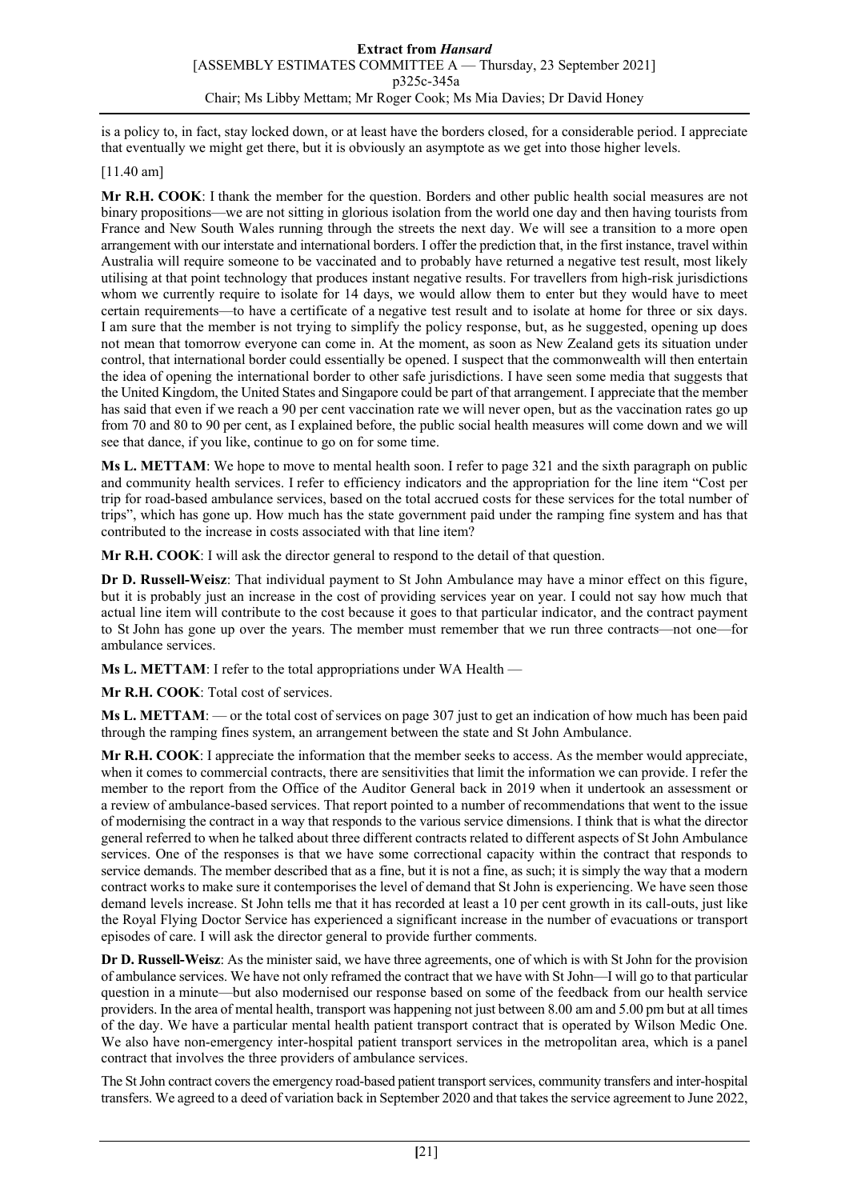is a policy to, in fact, stay locked down, or at least have the borders closed, for a considerable period. I appreciate that eventually we might get there, but it is obviously an asymptote as we get into those higher levels.

### [11.40 am]

**Mr R.H. COOK**: I thank the member for the question. Borders and other public health social measures are not binary propositions—we are not sitting in glorious isolation from the world one day and then having tourists from France and New South Wales running through the streets the next day. We will see a transition to a more open arrangement with our interstate and international borders. I offer the prediction that, in the first instance, travel within Australia will require someone to be vaccinated and to probably have returned a negative test result, most likely utilising at that point technology that produces instant negative results. For travellers from high-risk jurisdictions whom we currently require to isolate for 14 days, we would allow them to enter but they would have to meet certain requirements—to have a certificate of a negative test result and to isolate at home for three or six days. I am sure that the member is not trying to simplify the policy response, but, as he suggested, opening up does not mean that tomorrow everyone can come in. At the moment, as soon as New Zealand gets its situation under control, that international border could essentially be opened. I suspect that the commonwealth will then entertain the idea of opening the international border to other safe jurisdictions. I have seen some media that suggests that the United Kingdom, the United States and Singapore could be part of that arrangement. I appreciate that the member has said that even if we reach a 90 per cent vaccination rate we will never open, but as the vaccination rates go up from 70 and 80 to 90 per cent, as I explained before, the public social health measures will come down and we will see that dance, if you like, continue to go on for some time.

**Ms L. METTAM**: We hope to move to mental health soon. I refer to page 321 and the sixth paragraph on public and community health services. I refer to efficiency indicators and the appropriation for the line item "Cost per trip for road-based ambulance services, based on the total accrued costs for these services for the total number of trips", which has gone up. How much has the state government paid under the ramping fine system and has that contributed to the increase in costs associated with that line item?

**Mr R.H. COOK**: I will ask the director general to respond to the detail of that question.

**Dr D. Russell-Weisz**: That individual payment to St John Ambulance may have a minor effect on this figure, but it is probably just an increase in the cost of providing services year on year. I could not say how much that actual line item will contribute to the cost because it goes to that particular indicator, and the contract payment to St John has gone up over the years. The member must remember that we run three contracts—not one—for ambulance services.

**Ms L. METTAM**: I refer to the total appropriations under WA Health —

**Mr R.H. COOK**: Total cost of services.

**Ms L. METTAM**: — or the total cost of services on page 307 just to get an indication of how much has been paid through the ramping fines system, an arrangement between the state and St John Ambulance.

**Mr R.H. COOK**: I appreciate the information that the member seeks to access. As the member would appreciate, when it comes to commercial contracts, there are sensitivities that limit the information we can provide. I refer the member to the report from the Office of the Auditor General back in 2019 when it undertook an assessment or a review of ambulance-based services. That report pointed to a number of recommendations that went to the issue of modernising the contract in a way that responds to the various service dimensions. I think that is what the director general referred to when he talked about three different contracts related to different aspects of St John Ambulance services. One of the responses is that we have some correctional capacity within the contract that responds to service demands. The member described that as a fine, but it is not a fine, as such; it is simply the way that a modern contract works to make sure it contemporises the level of demand that St John is experiencing. We have seen those demand levels increase. St John tells me that it has recorded at least a 10 per cent growth in its call-outs, just like the Royal Flying Doctor Service has experienced a significant increase in the number of evacuations or transport episodes of care. I will ask the director general to provide further comments.

**Dr D. Russell-Weisz**: As the minister said, we have three agreements, one of which is with St John for the provision of ambulance services. We have not only reframed the contract that we have with St John—I will go to that particular question in a minute—but also modernised our response based on some of the feedback from our health service providers. In the area of mental health, transport was happening not just between 8.00 am and 5.00 pm but at all times of the day. We have a particular mental health patient transport contract that is operated by Wilson Medic One. We also have non-emergency inter-hospital patient transport services in the metropolitan area, which is a panel contract that involves the three providers of ambulance services.

The St John contract covers the emergency road-based patient transport services, community transfers and inter-hospital transfers. We agreed to a deed of variation back in September 2020 and that takes the service agreement to June 2022,